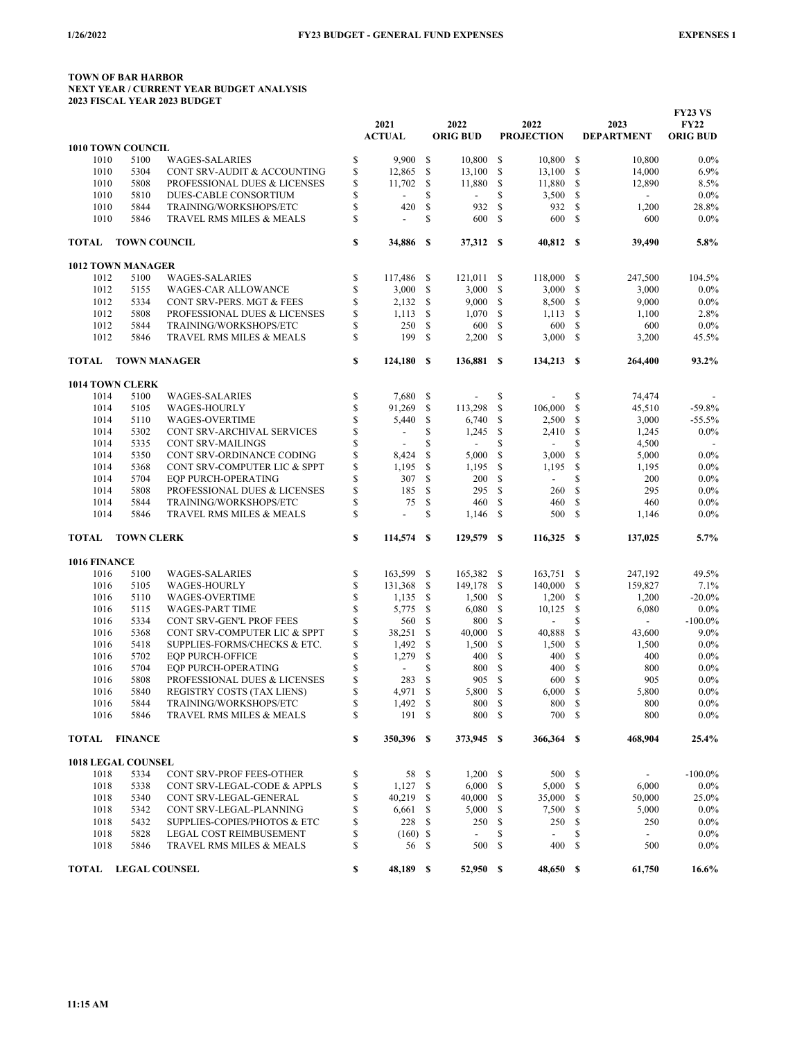**FY23 VS**

## **TOWN OF BAR HARBOR NEXT YEAR / CURRENT YEAR BUDGET ANALYSIS 2023 FISCAL YEAR 2023 BUDGET**

|              |                           |                                   |    | 2021<br><b>ACTUAL</b>    |               | 2022<br><b>ORIG BUD</b> |               | 2022<br><b>PROJECTION</b> |               | 2023<br><b>DEPARTMENT</b> | <b>FY22</b><br><b>ORIG BUD</b> |
|--------------|---------------------------|-----------------------------------|----|--------------------------|---------------|-------------------------|---------------|---------------------------|---------------|---------------------------|--------------------------------|
|              | 1010 TOWN COUNCIL         |                                   |    |                          |               |                         |               |                           |               |                           |                                |
| 1010         | 5100                      | <b>WAGES-SALARIES</b>             | \$ | 9,900                    | <sup>\$</sup> | 10,800                  | -S            | 10,800                    | -S            | 10.800                    | 0.0%                           |
| 1010         | 5304                      | CONT SRV-AUDIT & ACCOUNTING       | \$ | 12,865                   | \$            | 13,100                  | -S            | 13,100                    | \$            | 14,000                    | 6.9%                           |
| 1010         | 5808                      | PROFESSIONAL DUES & LICENSES      | \$ | 11,702                   | <sup>\$</sup> | 11,880                  | \$            | 11,880                    | \$            | 12,890                    | 8.5%                           |
| 1010         | 5810                      | DUES-CABLE CONSORTIUM             | S  |                          | \$            | $\frac{1}{2}$           | \$            | 3,500                     | \$            | $\overline{\phantom{a}}$  | 0.0%                           |
| 1010         | 5844                      | TRAINING/WORKSHOPS/ETC            | \$ | 420                      | \$            | 932                     | \$            | 932                       | $\mathbf S$   | 1,200                     | 28.8%                          |
| 1010         | 5846                      | TRAVEL RMS MILES & MEALS          | S  |                          | \$            | 600                     | \$            | 600                       | \$            | 600                       | 0.0%                           |
|              |                           |                                   |    |                          |               |                         |               |                           |               |                           |                                |
| <b>TOTAL</b> | <b>TOWN COUNCIL</b>       |                                   | \$ | 34,886                   | - \$          | 37,312 \$               |               | 40,812 \$                 |               | 39,490                    | 5.8%                           |
|              | <b>1012 TOWN MANAGER</b>  |                                   |    |                          |               |                         |               |                           |               |                           |                                |
| 1012         | 5100                      | <b>WAGES-SALARIES</b>             | \$ | 117,486                  | - \$          | $121,011$ \$            |               | 118,000                   | -S            | 247,500                   | 104.5%                         |
| 1012         | 5155                      | <b>WAGES-CAR ALLOWANCE</b>        | \$ | 3,000                    | \$            | 3,000                   | -S            | 3,000                     | \$            | 3,000                     | 0.0%                           |
| 1012         | 5334                      | CONT SRV-PERS. MGT & FEES         | \$ | 2,132                    | <sup>\$</sup> | 9,000                   | <sup>\$</sup> | 8,500                     | <sup>\$</sup> | 9,000                     | 0.0%                           |
| 1012         | 5808                      | PROFESSIONAL DUES & LICENSES      | \$ | 1,113                    | <sup>\$</sup> | 1,070                   | <sup>\$</sup> | 1,113                     | \$            | 1,100                     | 2.8%                           |
| 1012         | 5844                      | TRAINING/WORKSHOPS/ETC            | \$ | 250                      | \$            | 600                     | <sup>\$</sup> | 600                       | \$            | 600                       | 0.0%                           |
| 1012         | 5846                      | TRAVEL RMS MILES & MEALS          | S  | 199                      | <sup>\$</sup> | 2,200                   | <sup>\$</sup> | 3,000                     | -S            | 3,200                     | 45.5%                          |
| <b>TOTAL</b> |                           | <b>TOWN MANAGER</b>               | \$ | 124,180                  | -S            | 136,881                 | - \$          | 134,213                   | -S            | 264,400                   | 93.2%                          |
|              | 1014 TOWN CLERK           |                                   |    |                          |               |                         |               |                           |               |                           |                                |
| 1014         | 5100                      | <b>WAGES-SALARIES</b>             | \$ | 7,680                    | <sup>\$</sup> |                         | \$            |                           | \$            | 74,474                    |                                |
| 1014         | 5105                      | <b>WAGES-HOURLY</b>               | \$ | 91,269                   | \$            | 113,298                 | \$            | 106,000                   | <sup>\$</sup> |                           | $-59.8%$                       |
|              |                           |                                   |    |                          |               |                         |               |                           |               | 45,510                    |                                |
| 1014         | 5110                      | <b>WAGES-OVERTIME</b>             | \$ | 5,440                    | \$            | 6,740                   | <sup>\$</sup> | 2,500                     | <sup>\$</sup> | 3,000                     | $-55.5%$                       |
| 1014         | 5302                      | CONT SRV-ARCHIVAL SERVICES        | \$ |                          | \$            | 1,245                   | \$            | 2,410                     | \$            | 1,245                     | 0.0%                           |
| 1014         | 5335                      | <b>CONT SRV-MAILINGS</b>          | \$ |                          | \$            | $\overline{a}$          | \$            | $\overline{\phantom{a}}$  | \$            | 4,500                     |                                |
| 1014         | 5350                      | CONT SRV-ORDINANCE CODING         | \$ | 8,424                    | \$            | 5,000                   | \$            | 3,000                     | \$            | 5,000                     | 0.0%                           |
| 1014         | 5368                      | CONT SRV-COMPUTER LIC & SPPT      | \$ | 1,195                    | \$            | 1,195                   | \$            | 1,195                     | \$            | 1,195                     | 0.0%                           |
| 1014         | 5704                      | <b>EQP PURCH-OPERATING</b>        | \$ | 307                      | <sup>\$</sup> | 200                     | \$            |                           | \$            | 200                       | 0.0%                           |
| 1014         | 5808                      | PROFESSIONAL DUES & LICENSES      | \$ | 185                      | $\mathbb{S}$  | 295                     | \$            | 260                       | \$            | 295                       | 0.0%                           |
| 1014         | 5844                      | TRAINING/WORKSHOPS/ETC            | \$ | 75                       | \$            | 460                     | \$            | 460                       | \$            | 460                       | 0.0%                           |
| 1014         | 5846                      | TRAVEL RMS MILES & MEALS          | \$ |                          | \$            | 1,146                   | \$            | 500                       | <b>S</b>      | 1,146                     | 0.0%                           |
| <b>TOTAL</b> | <b>TOWN CLERK</b>         |                                   | \$ | 114,574                  | - \$          | 129,579 \$              |               | $116,325$ \$              |               | 137,025                   | 5.7%                           |
| 1016 FINANCE |                           |                                   |    |                          |               |                         |               |                           |               |                           |                                |
| 1016         | 5100                      | <b>WAGES-SALARIES</b>             | \$ | 163,599                  | -\$           | 165,382 \$              |               | 163,751                   | -S            | 247,192                   | 49.5%                          |
| 1016         | 5105                      | <b>WAGES-HOURLY</b>               | \$ | 131,368                  | \$            | 149,178                 | <sup>\$</sup> | 140,000                   | <sup>\$</sup> | 159,827                   | 7.1%                           |
| 1016         | 5110                      | <b>WAGES-OVERTIME</b>             | \$ | 1,135                    | \$            | 1,500                   | \$            | 1,200                     | \$            | 1,200                     | $-20.0\%$                      |
| 1016         | 5115                      | <b>WAGES-PART TIME</b>            | \$ | 5,775                    | \$            | 6,080                   | \$            | 10,125                    | $\mathbb{S}$  | 6,080                     | 0.0%                           |
| 1016         | 5334                      | CONT SRV-GEN'L PROF FEES          | \$ | 560                      | \$            | 800                     | \$            |                           | \$            | $\overline{\phantom{a}}$  | $-100.0\%$                     |
| 1016         | 5368                      | CONT SRV-COMPUTER LIC & SPPT      | \$ | 38,251                   | <sup>\$</sup> | 40,000                  | \$            | 40,888                    | \$            | 43,600                    | 9.0%                           |
| 1016         | 5418                      | SUPPLIES-FORMS/CHECKS & ETC.      | \$ | 1,492                    | \$            | 1,500                   | \$            | 1,500                     | \$            | 1,500                     | 0.0%                           |
| 1016         | 5702                      | <b>EQP PURCH-OFFICE</b>           | \$ | 1,279                    | \$            | 400                     | \$            | 400                       | S             | 400                       | 0.0%                           |
| 1016         | 5704                      |                                   | \$ |                          | \$            | 800                     | \$            |                           | S             | 800                       | 0.0%                           |
|              |                           | EQP PURCH-OPERATING               |    | $\overline{\phantom{a}}$ |               |                         |               | 400                       |               |                           |                                |
| 1016         | 5808                      | PROFESSIONAL DUES & LICENSES      | \$ | 283                      | \$            | 905                     | \$            | 600                       | S             | 905                       | 0.0%                           |
| 1016         | 5840                      | <b>REGISTRY COSTS (TAX LIENS)</b> | \$ | 4,971                    | \$            | 5,800                   | \$            | 6,000                     | S             | 5,800                     | 0.0%                           |
| 1016         | 5844                      | TRAINING/WORKSHOPS/ETC            | S  | 1,492                    | <sup>\$</sup> | 800                     | <sup>\$</sup> | 800                       | S             | 800                       | 0.0%                           |
| 1016         | 5846                      | TRAVEL RMS MILES & MEALS          | \$ | 191 \$                   |               | 800 \$                  |               | 700 \$                    |               | 800                       | $0.0\%$                        |
| <b>TOTAL</b> | <b>FINANCE</b>            |                                   | \$ | 350,396 \$               |               | 373,945 \$              |               | 366,364 \$                |               | 468,904                   | 25.4%                          |
|              | <b>1018 LEGAL COUNSEL</b> |                                   |    |                          |               |                         |               |                           |               |                           |                                |
| 1018         | 5334                      | CONT SRV-PROF FEES-OTHER          | \$ | 58 \$                    |               | $1,200$ \$              |               | 500 \$                    |               | $\sim$                    | $-100.0\%$                     |
| 1018         | 5338                      | CONT SRV-LEGAL-CODE & APPLS       | \$ | $1,127$ \$               |               | $6,000$ \$              |               | $5,000$ \$                |               | 6,000                     | $0.0\%$                        |
| 1018         | 5340                      | CONT SRV-LEGAL-GENERAL            | \$ | 40,219 \$                |               | 40,000 \$               |               | 35,000 \$                 |               | 50,000                    | 25.0%                          |
| 1018         | 5342                      | CONT SRV-LEGAL-PLANNING           | \$ | $6,661$ \$               |               | 5,000                   | \$            | 7,500 \$                  |               | 5,000                     | 0.0%                           |
| 1018         | 5432                      | SUPPLIES-COPIES/PHOTOS & ETC      | \$ | 228                      | - \$          | 250                     | \$            | 250                       | -S            | 250                       | 0.0%                           |
| 1018         | 5828                      | LEGAL COST REIMBUSEMENT           | \$ | $(160)$ \$               |               | $\blacksquare$          | \$            | $\overline{\phantom{a}}$  | \$            | $\sim$                    | $0.0\%$                        |
| 1018         | 5846                      | TRAVEL RMS MILES & MEALS          | \$ | 56                       | - \$          | 500                     | \$            | 400                       | \$            | 500                       | $0.0\%$                        |
|              |                           |                                   |    |                          |               |                         |               |                           |               |                           |                                |
|              | TOTAL LEGAL COUNSEL       |                                   | S  | 48,189 \$                |               | 52,950 S                |               | 48,650 \$                 |               | 61,750                    | 16.6%                          |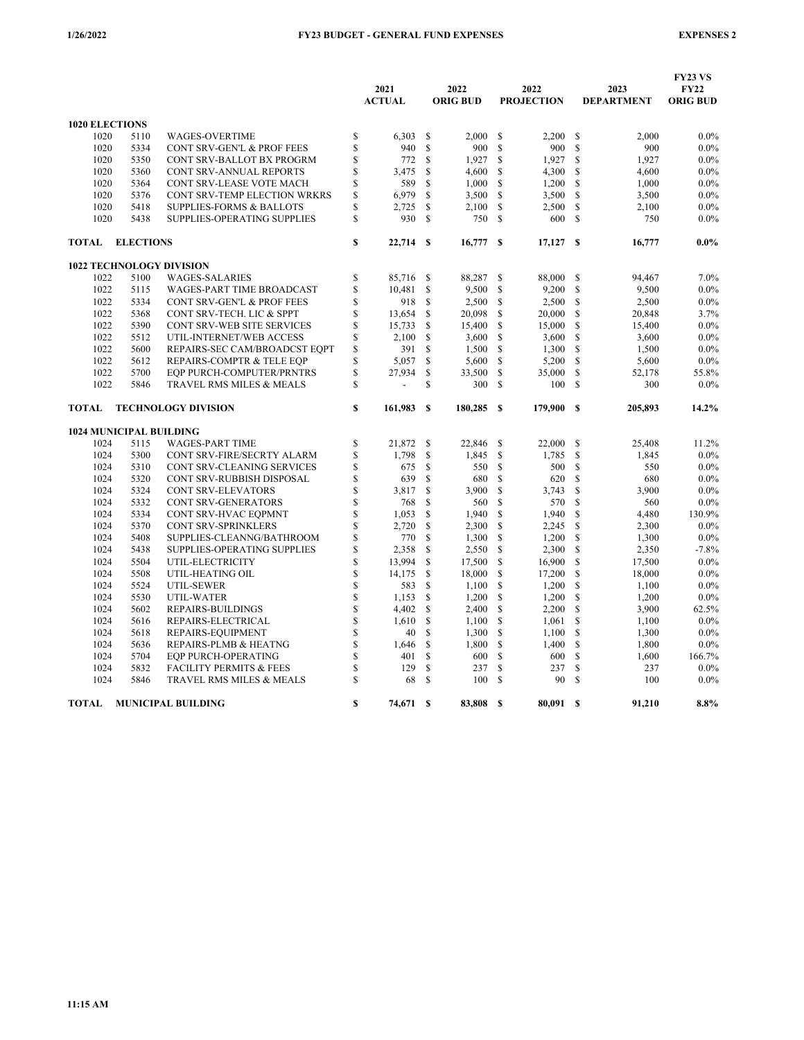|                       |                                |                                     |    | 2021<br><b>ACTUAL</b> |               | 2022<br><b>ORIG BUD</b> |               | 2022<br><b>PROJECTION</b> |          | 2023<br><b>DEPARTMENT</b> | <b>FY23 VS</b><br><b>FY22</b><br><b>ORIG BUD</b> |
|-----------------------|--------------------------------|-------------------------------------|----|-----------------------|---------------|-------------------------|---------------|---------------------------|----------|---------------------------|--------------------------------------------------|
| <b>1020 ELECTIONS</b> |                                |                                     |    |                       |               |                         |               |                           |          |                           |                                                  |
| 1020                  | 5110                           | <b>WAGES-OVERTIME</b>               | \$ | 6,303                 | \$            | 2,000                   | \$            | 2,200                     | \$       | 2,000                     | $0.0\%$                                          |
| 1020                  | 5334                           | CONT SRV-GEN'L & PROF FEES          | \$ | 940                   | \$            | 900                     | \$            | 900                       | \$       | 900                       | $0.0\%$                                          |
| 1020                  | 5350                           | CONT SRV-BALLOT BX PROGRM           | \$ | 772                   | \$            | 1,927                   | S             | 1,927                     | \$       | 1,927                     | $0.0\%$                                          |
| 1020                  | 5360                           | CONT SRV-ANNUAL REPORTS             | \$ | 3,475                 | \$            | 4,600                   | \$            | 4,300                     | \$       | 4,600                     | 0.0%                                             |
| 1020                  | 5364                           | CONT SRV-LEASE VOTE MACH            | \$ | 589                   | \$            | 1,000                   | \$            | 1,200                     | \$       | 1,000                     | $0.0\%$                                          |
| 1020                  | 5376                           | CONT SRV-TEMP ELECTION WRKRS        | S  | 6,979                 | \$            | 3,500                   | <sup>\$</sup> | 3,500                     | S        | 3,500                     | 0.0%                                             |
| 1020                  | 5418                           | <b>SUPPLIES-FORMS &amp; BALLOTS</b> | \$ | 2,725                 | \$            | 2,100                   | \$            | 2,500                     | \$       | 2,100                     | $0.0\%$                                          |
| 1020                  | 5438                           | SUPPLIES-OPERATING SUPPLIES         | S  | 930                   | S             | 750                     | <sup>\$</sup> | 600                       | S        | 750                       | $0.0\%$                                          |
| <b>TOTAL</b>          | <b>ELECTIONS</b>               |                                     | \$ | 22,714                | <sup>S</sup>  | 16,777                  | $\mathbf{s}$  | 17,127                    | <b>S</b> | 16,777                    | $0.0\%$                                          |
|                       |                                | <b>1022 TECHNOLOGY DIVISION</b>     |    |                       |               |                         |               |                           |          |                           |                                                  |
| 1022                  | 5100                           | <b>WAGES-SALARIES</b>               | \$ | 85,716                | \$            | 88,287                  | \$            | 88,000                    | S        | 94,467                    | 7.0%                                             |
| 1022                  | 5115                           | WAGES-PART TIME BROADCAST           | \$ | 10,481                | \$            | 9,500                   | <sup>\$</sup> | 9,200                     | \$       | 9,500                     | $0.0\%$                                          |
| 1022                  | 5334                           | CONT SRV-GEN'L & PROF FEES          | \$ | 918                   | <sup>\$</sup> | 2,500                   | \$            | 2,500                     | S        | 2,500                     | 0.0%                                             |
| 1022                  | 5368                           | CONT SRV-TECH. LIC & SPPT           | \$ | 13,654                | \$            | 20,098                  | \$            | 20,000                    | S        | 20,848                    | 3.7%                                             |
| 1022                  | 5390                           | CONT SRV-WEB SITE SERVICES          | \$ | 15,733                | \$            | 15,400                  | \$            | 15,000                    | S        | 15,400                    | $0.0\%$                                          |
| 1022                  | 5512                           | UTIL-INTERNET/WEB ACCESS            | \$ | 2,100                 | S             | 3,600                   | \$            | 3,600                     | \$       | 3,600                     | 0.0%                                             |
| 1022                  | 5600                           | REPAIRS-SEC CAM/BROADCST EQPT       | \$ | 391                   | <sup>\$</sup> | 1,500                   | \$            | 1,300                     | S        | 1,500                     | 0.0%                                             |
| 1022                  | 5612                           | REPAIRS-COMPTR & TELE EQP           | \$ | 5,057                 | \$            | 5,600                   | \$            | 5,200                     | \$       | 5,600                     | 0.0%                                             |
| 1022                  | 5700                           | EQP PURCH-COMPUTER/PRNTRS           | \$ | 27,934                | \$            | 33,500                  | \$            | 35,000                    | S        | 52,178                    | 55.8%                                            |
| 1022                  | 5846                           | TRAVEL RMS MILES & MEALS            | \$ | $\overline{a}$        | \$            | 300                     | \$            | 100                       | \$       | 300                       | 0.0%                                             |
| <b>TOTAL</b>          |                                | <b>TECHNOLOGY DIVISION</b>          | \$ | 161,983               | <b>S</b>      | 180,285                 | -S            | 179,900 S                 |          | 205,893                   | 14.2%                                            |
|                       | <b>1024 MUNICIPAL BUILDING</b> |                                     |    |                       |               |                         |               |                           |          |                           |                                                  |
| 1024                  | 5115                           | <b>WAGES-PART TIME</b>              | \$ | 21,872                | <sup>\$</sup> | 22,846                  | <sup>\$</sup> | 22,000                    | \$       | 25,408                    | 11.2%                                            |
| 1024                  | 5300                           | CONT SRV-FIRE/SECRTY ALARM          | \$ | 1,798                 | \$            | 1,845                   | \$            | 1,785                     | \$       | 1,845                     | 0.0%                                             |
| 1024                  | 5310                           | CONT SRV-CLEANING SERVICES          | \$ | 675                   | \$            | 550                     | \$            | 500                       | \$       | 550                       | 0.0%                                             |
| 1024                  | 5320                           | CONT SRV-RUBBISH DISPOSAL           | \$ | 639                   | \$            | 680                     | \$            | 620                       | \$       | 680                       | $0.0\%$                                          |
| 1024                  | 5324                           | <b>CONT SRV-ELEVATORS</b>           | \$ | 3.817                 | \$            | 3.900                   | <sup>\$</sup> | 3.743                     | S        | 3.900                     | 0.0%                                             |
| 1024                  | 5332                           | CONT SRV-GENERATORS                 | \$ | 768                   | \$            | 560                     | \$            | 570                       | \$       | 560                       | $0.0\%$                                          |
| 1024                  | 5334                           | CONT SRV-HVAC EQPMNT                | \$ | 1,053                 | \$            | 1,940                   | \$            | 1,940                     | S        | 4,480                     | 130.9%                                           |
| 1024                  | 5370                           | <b>CONT SRV-SPRINKLERS</b>          | \$ | 2,720                 | \$            | 2,300                   | \$            | 2,245                     | \$       | 2,300                     | 0.0%                                             |
| 1024                  | 5408                           | SUPPLIES-CLEANNG/BATHROOM           | \$ | 770                   | S             | 1,300                   | \$            | 1,200                     | \$       | 1,300                     | $0.0\%$                                          |
| 1024                  | 5438                           | SUPPLIES-OPERATING SUPPLIES         | \$ | 2,358                 | S             | 2,550                   | \$            | 2,300                     | S        | 2,350                     | $-7.8%$                                          |
| 1024                  | 5504                           | UTIL-ELECTRICITY                    | \$ | 13,994                | \$            | 17,500                  | \$            | 16,900                    | S        | 17,500                    | 0.0%                                             |
| 1024                  | 5508                           | UTIL-HEATING OIL                    | \$ | 14,175                | \$            | 18,000                  | \$            | 17,200                    | S        | 18,000                    | 0.0%                                             |
| 1024                  | 5524                           | UTIL-SEWER                          | \$ | 583                   | S             | 1,100                   | <sup>\$</sup> | 1,200                     | S        | 1,100                     | $0.0\%$                                          |
| 1024                  | 5530                           | UTIL-WATER                          | \$ | 1,153                 | \$            | 1,200                   | \$            | 1,200                     | \$       | 1,200                     | 0.0%                                             |
| 1024                  | 5602                           | REPAIRS-BUILDINGS                   | \$ | 4,402                 | \$            | 2,400                   | \$            | 2,200                     | S        | 3,900                     | 62.5%                                            |
| 1024                  | 5616                           | REPAIRS-ELECTRICAL                  | \$ | 1,610                 | \$            | 1,100                   | \$            | 1,061                     | S        | 1,100                     | 0.0%                                             |
| 1024                  | 5618                           | REPAIRS-EQUIPMENT                   | \$ | 40                    | <sup>\$</sup> | 1,300                   | \$            | 1,100                     | \$       | 1,300                     | 0.0%                                             |
| 1024                  | 5636                           | REPAIRS-PLMB & HEATNG               | \$ | 1,646                 | \$            | 1,800                   | \$            | 1,400                     | S        | 1,800                     | 0.0%                                             |
| 1024                  | 5704                           | <b>EOP PURCH-OPERATING</b>          | \$ | 401                   | \$            | 600                     | \$            | 600                       | \$       | 1,600                     | 166.7%                                           |
| 1024                  | 5832                           | <b>FACILITY PERMITS &amp; FEES</b>  | \$ | 129                   | \$            | 237                     | \$            | 237                       | \$       | 237                       | $0.0\%$                                          |
| 1024                  | 5846                           | TRAVEL RMS MILES & MEALS            | \$ | 68                    | \$            | 100                     | \$            | 90                        | \$       | 100                       | 0.0%                                             |
| <b>TOTAL</b>          |                                | <b>MUNICIPAL BUILDING</b>           | S  | 74.671                | <sup>S</sup>  | 83.808                  | <b>S</b>      | 80.091                    | S        | 91.210                    | 8.8%                                             |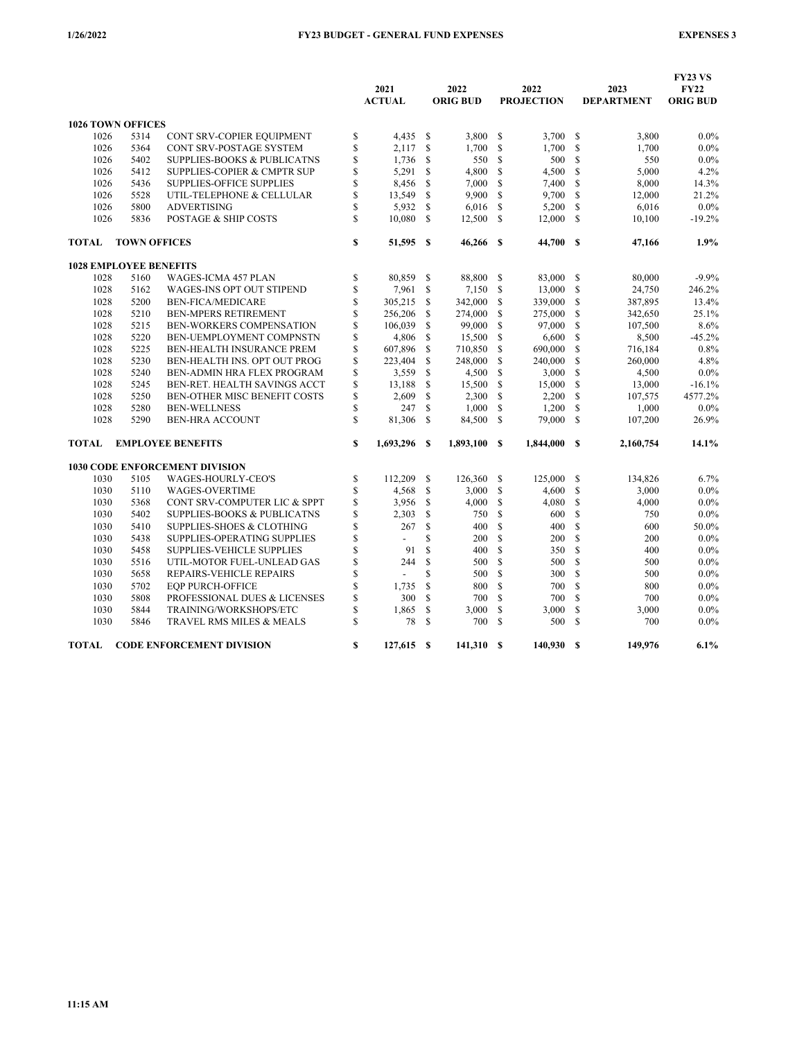|              |                               |                                               |              | 2021<br><b>ACTUAL</b>    |               | 2022<br><b>ORIG BUD</b> |                     | 2022<br><b>PROJECTION</b> |              | 2023<br><b>DEPARTMENT</b> | <b>FY23 VS</b><br><b>FY22</b><br><b>ORIG BUD</b> |
|--------------|-------------------------------|-----------------------------------------------|--------------|--------------------------|---------------|-------------------------|---------------------|---------------------------|--------------|---------------------------|--------------------------------------------------|
|              | <b>1026 TOWN OFFICES</b>      |                                               |              |                          |               |                         |                     |                           |              |                           |                                                  |
| 1026         | 5314                          | CONT SRV-COPIER EQUIPMENT                     | \$           | 4,435                    | \$            | 3,800                   | <b>S</b>            | 3,700                     | \$           | 3,800                     | $0.0\%$                                          |
| 1026         | 5364                          | CONT SRV-POSTAGE SYSTEM                       | \$           | 2,117                    | <sup>\$</sup> | 1,700                   | <sup>\$</sup>       | 1,700                     | \$           | 1,700                     | $0.0\%$                                          |
| 1026         | 5402                          | <b>SUPPLIES-BOOKS &amp; PUBLICATNS</b>        | \$           | 1,736                    | \$            | 550                     | \$                  | 500                       | \$           | 550                       | $0.0\%$                                          |
| 1026         | 5412                          | SUPPLIES-COPIER & CMPTR SUP                   | \$           | 5,291                    | \$            | 4,800                   | \$                  | 4,500                     | \$           | 5,000                     | 4.2%                                             |
| 1026         | 5436                          | SUPPLIES-OFFICE SUPPLIES                      | \$           | 8,456                    | <sup>\$</sup> | 7,000                   | <b>S</b>            | 7,400                     | \$           | 8,000                     | 14.3%                                            |
| 1026         | 5528                          | UTIL-TELEPHONE & CELLULAR                     | \$           | 13,549                   | \$            | 9,900                   | <sup>\$</sup>       | 9,700                     | \$           | 12,000                    | 21.2%                                            |
| 1026         | 5800                          | <b>ADVERTISING</b>                            | \$           | 5,932                    | <sup>\$</sup> | 6,016                   | <b>S</b>            | 5,200                     | \$           | 6,016                     | 0.0%                                             |
| 1026         | 5836                          | POSTAGE & SHIP COSTS                          | $\mathbf{s}$ | 10,080                   | <sup>\$</sup> | 12,500                  | <sup>\$</sup>       | 12,000                    | \$           | 10,100                    | $-19.2%$                                         |
| <b>TOTAL</b> | <b>TOWN OFFICES</b>           |                                               | \$           | 51,595                   | <sup>S</sup>  | 46,266                  | -S                  | 44,700                    | S            | 47,166                    | 1.9%                                             |
|              | <b>1028 EMPLOYEE BENEFITS</b> |                                               |              |                          |               |                         |                     |                           |              |                           |                                                  |
| 1028         | 5160                          | WAGES-ICMA 457 PLAN                           | \$           | 80.859                   | <sup>\$</sup> | 88,800                  | <b>S</b>            | 83,000                    | \$           | 80,000                    | $-9.9%$                                          |
| 1028         | 5162                          | WAGES-INS OPT OUT STIPEND                     | \$           | 7,961                    | <sup>\$</sup> | 7,150                   | <b>S</b>            | 13,000                    | $\mathbb{S}$ | 24,750                    | 246.2%                                           |
| 1028         | 5200                          | <b>BEN-FICA/MEDICARE</b>                      | Ŝ            | 305,215                  | \$            | 342,000                 | -S                  | 339,000                   | \$           | 387,895                   | 13.4%                                            |
| 1028         | 5210                          | <b>BEN-MPERS RETIREMENT</b>                   | \$           | 256,206                  | \$            | 274,000                 | <sup>\$</sup>       | 275,000                   | $\mathbb{S}$ | 342,650                   | 25.1%                                            |
| 1028         | 5215                          | <b>BEN-WORKERS COMPENSATION</b>               | Ŝ            | 106,039                  | S             | 99,000                  | -S                  | 97,000                    | \$           | 107,500                   | 8.6%                                             |
| 1028         | 5220                          | BEN-UEMPLOYMENT COMPNSTN                      | \$           | 4,806                    | \$            | 15,500                  | -S                  | 6,600                     | \$           | 8,500                     | $-45.2%$                                         |
| 1028         | 5225                          | <b>BEN-HEALTH INSURANCE PREM</b>              | \$           | 607,896                  | \$            | 710,850                 | -S                  | 690,000                   | \$           | 716,184                   | 0.8%                                             |
| 1028         | 5230                          | BEN-HEALTH INS. OPT OUT PROG                  | \$           | 223,404                  | \$            | 248,000                 | <sup>\$</sup>       | 240,000                   | \$           | 260,000                   | 4.8%                                             |
| 1028         | 5240                          | <b>BEN-ADMIN HRA FLEX PROGRAM</b>             | \$           | 3,559                    | \$            | 4,500                   | <sup>\$</sup>       | 3,000                     | \$           | 4,500                     | $0.0\%$                                          |
| 1028         | 5245                          | BEN-RET. HEALTH SAVINGS ACCT                  | \$           | 13,188                   | <sup>\$</sup> | 15,500                  | -S                  | 15,000                    | S            | 13,000                    | $-16.1%$                                         |
| 1028         | 5250                          | BEN-OTHER MISC BENEFIT COSTS                  | \$           | 2,609                    | \$            | 2,300                   | -S                  | 2,200                     | \$           | 107,575                   | 4577.2%                                          |
| 1028<br>1028 | 5280<br>5290                  | <b>BEN-WELLNESS</b><br><b>BEN-HRA ACCOUNT</b> | \$<br>\$     | 247<br>81,306            | \$<br>\$      | 1,000<br>84,500         | <sup>\$</sup><br>-S | 1,200<br>79,000           | \$<br>S      | 1,000<br>107,200          | 0.0%<br>26.9%                                    |
| <b>TOTAL</b> |                               | <b>EMPLOYEE BENEFITS</b>                      | S            | 1,693,296                | S             | 1,893,100               | -S                  | 1,844,000                 | S            | 2,160,754                 | 14.1%                                            |
|              |                               | <b>1030 CODE ENFORCEMENT DIVISION</b>         |              |                          |               |                         |                     |                           |              |                           |                                                  |
| 1030         | 5105                          | <b>WAGES-HOURLY-CEO'S</b>                     | \$           | 112,209                  | \$            | 126,360                 | \$                  | 125,000                   | \$           | 134,826                   | 6.7%                                             |
| 1030         | 5110                          | <b>WAGES-OVERTIME</b>                         | \$           | 4,568                    | \$            | 3,000                   | <b>S</b>            | 4,600                     | \$           | 3,000                     | $0.0\%$                                          |
| 1030         | 5368                          | CONT SRV-COMPUTER LIC & SPPT                  | \$           | 3,956                    | \$            | 4,000                   | <sup>\$</sup>       | 4,080                     | $\mathbb{S}$ | 4,000                     | $0.0\%$                                          |
| 1030         | 5402                          | <b>SUPPLIES-BOOKS &amp; PUBLICATNS</b>        | \$           | 2,303                    | \$            | 750                     | \$                  | 600                       | \$           | 750                       | $0.0\%$                                          |
| 1030         | 5410                          | <b>SUPPLIES-SHOES &amp; CLOTHING</b>          | \$           | 267                      | \$            | 400                     | \$                  | 400                       | $\mathbb{S}$ | 600                       | 50.0%                                            |
| 1030         | 5438                          | SUPPLIES-OPERATING SUPPLIES                   | \$           | $\overline{\phantom{0}}$ | \$            | 200                     | \$                  | 200                       | S            | 200                       | 0.0%                                             |
| 1030         | 5458                          | SUPPLIES-VEHICLE SUPPLIES                     | \$           | 91                       | \$            | 400                     | \$                  | 350                       | $\mathbb{S}$ | 400                       | $0.0\%$                                          |
| 1030         | 5516                          | UTIL-MOTOR FUEL-UNLEAD GAS                    | \$           | 244                      | S             | 500                     | <b>S</b>            | 500                       | S            | 500                       | $0.0\%$                                          |
| 1030         | 5658                          | REPAIRS-VEHICLE REPAIRS                       | \$           | $\overline{a}$           | \$            | 500                     | <sup>\$</sup>       | 300                       | $\mathbb{S}$ | 500                       | $0.0\%$                                          |
| 1030         | 5702                          | <b>EOP PURCH-OFFICE</b>                       | \$           | 1,735                    | \$            | 800                     | \$                  | 700                       | $\mathbf S$  | 800                       | $0.0\%$                                          |
| 1030         | 5808                          | PROFESSIONAL DUES & LICENSES                  | \$           | 300                      | S             | 700                     | <sup>\$</sup>       | 700                       | $\mathbb{S}$ | 700                       | $0.0\%$                                          |
| 1030         | 5844                          | TRAINING/WORKSHOPS/ETC                        | Ŝ            | 1,865                    | \$            | 3,000                   | \$                  | 3,000                     | $\mathbb{S}$ | 3,000                     | $0.0\%$                                          |
| 1030         | 5846                          | TRAVEL RMS MILES & MEALS                      | \$           | 78                       | S             | 700                     | \$                  | 500                       | S            | 700                       | $0.0\%$                                          |
| <b>TOTAL</b> |                               | <b>CODE ENFORCEMENT DIVISION</b>              | \$           | 127,615                  | -S            | 141,310                 | -S                  | 140,930                   | S            | 149.976                   | 6.1%                                             |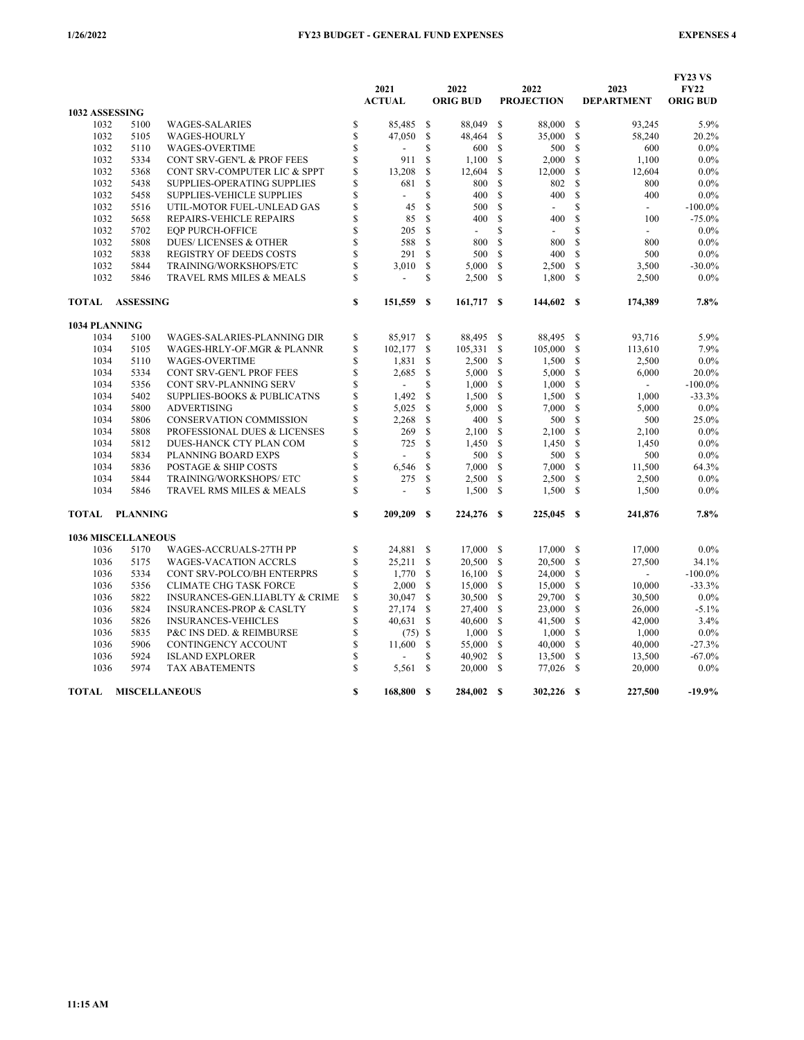|                |                           |                                           |    | 2021<br><b>ACTUAL</b> |               | 2022<br><b>ORIG BUD</b> |               | 2022<br><b>PROJECTION</b> |               | 2023<br><b>DEPARTMENT</b> | <b>FY23 VS</b><br><b>FY22</b><br><b>ORIG BUD</b> |
|----------------|---------------------------|-------------------------------------------|----|-----------------------|---------------|-------------------------|---------------|---------------------------|---------------|---------------------------|--------------------------------------------------|
| 1032 ASSESSING |                           |                                           |    |                       |               |                         |               |                           |               |                           |                                                  |
| 1032           | 5100                      | <b>WAGES-SALARIES</b>                     | \$ | 85,485                | \$            | 88,049                  | S             | 88,000                    | \$            | 93,245                    | 5.9%                                             |
| 1032           | 5105                      | <b>WAGES-HOURLY</b>                       | \$ | 47,050                | \$            | 48,464                  | \$            | 35,000                    | \$            | 58,240                    | 20.2%                                            |
| 1032           | 5110                      | <b>WAGES-OVERTIME</b>                     | \$ |                       | S             | 600                     | <sup>\$</sup> | 500                       | S             | 600                       | 0.0%                                             |
| 1032           | 5334                      | CONT SRV-GEN'L & PROF FEES                | \$ | 911                   | \$            | 1,100                   | \$            | 2,000                     | \$            | 1,100                     | 0.0%                                             |
| 1032           | 5368                      | CONT SRV-COMPUTER LIC & SPPT              | \$ | 13,208                | \$            | 12,604                  | \$            | 12,000                    | \$            | 12,604                    | $0.0\%$                                          |
| 1032           | 5438                      | SUPPLIES-OPERATING SUPPLIES               | \$ | 681                   | \$            | 800                     | \$            | 802                       | \$            | 800                       | $0.0\%$                                          |
| 1032           | 5458                      | <b>SUPPLIES-VEHICLE SUPPLIES</b>          | \$ | $\overline{a}$        | \$            | 400                     | \$            | 400                       | \$            | 400                       | $0.0\%$                                          |
| 1032           | 5516                      | UTIL-MOTOR FUEL-UNLEAD GAS                | \$ | 45                    | \$            | 500                     | \$            | $\overline{a}$            | S             | $\blacksquare$            | $-100.0\%$                                       |
| 1032           | 5658                      | REPAIRS-VEHICLE REPAIRS                   | \$ | 85                    | <sup>\$</sup> | 400                     | \$            | 400                       | \$            | 100                       | $-75.0%$                                         |
| 1032           | 5702                      | <b>EOP PURCH-OFFICE</b>                   | \$ | 205                   | \$            |                         | \$            |                           | \$            |                           | $0.0\%$                                          |
| 1032           | 5808                      | <b>DUES/LICENSES &amp; OTHER</b>          | \$ | 588                   | <sup>\$</sup> | 800                     | \$            | 800                       | S             | 800                       | 0.0%                                             |
| 1032           | 5838                      | REGISTRY OF DEEDS COSTS                   | \$ | 291                   | \$            | 500                     | \$            | 400                       | S             | 500                       | $0.0\%$                                          |
| 1032           | 5844                      | TRAINING/WORKSHOPS/ETC                    | \$ | 3,010                 | \$            | 5,000                   | \$            | 2,500                     | \$            | 3,500                     | $-30.0\%$                                        |
| 1032           | 5846                      | TRAVEL RMS MILES & MEALS                  | \$ | $\overline{a}$        | \$            | 2,500                   | \$            | 1,800                     | \$            | 2,500                     | $0.0\%$                                          |
| TOTAL          | <b>ASSESSING</b>          |                                           | \$ | 151,559               | <b>S</b>      | 161,717 \$              |               | 144,602 \$                |               | 174,389                   | 7.8%                                             |
| 1034 PLANNING  |                           |                                           |    |                       |               |                         |               |                           |               |                           |                                                  |
| 1034           | 5100                      | WAGES-SALARIES-PLANNING DIR               | \$ | 85,917                | \$            | 88,495                  | \$            | 88,495                    | \$            | 93,716                    | 5.9%                                             |
| 1034           | 5105                      | WAGES-HRLY-OF.MGR & PLANNR                | \$ | 102,177               | \$            | 105,331                 | \$            | 105,000                   | \$            | 113,610                   | 7.9%                                             |
| 1034           | 5110                      | <b>WAGES-OVERTIME</b>                     | \$ | 1,831                 | \$            | 2,500                   | \$            | 1,500                     | S             | 2,500                     | 0.0%                                             |
| 1034           | 5334                      | CONT SRV-GEN'L PROF FEES                  | \$ | 2,685                 | \$            | 5,000                   | \$            | 5,000                     | \$            | 6,000                     | 20.0%                                            |
| 1034           | 5356                      | CONT SRV-PLANNING SERV                    | \$ | $\frac{1}{2}$         | \$            | 1,000                   | \$            | 1,000                     | \$            | $\Box$                    | $-100.0\%$                                       |
| 1034           | 5402                      | <b>SUPPLIES-BOOKS &amp; PUBLICATNS</b>    | \$ | 1,492                 | \$            | 1,500                   | \$            | 1,500                     | \$            | 1,000                     | $-33.3%$                                         |
| 1034           | 5800                      | <b>ADVERTISING</b>                        | \$ | 5,025                 | <sup>\$</sup> | 5,000                   | S             | 7.000                     | S             | 5,000                     | $0.0\%$                                          |
| 1034           | 5806                      | <b>CONSERVATION COMMISSION</b>            | \$ | 2,268                 | \$            | 400                     | \$            | 500                       | \$            | 500                       | 25.0%                                            |
| 1034           | 5808                      | PROFESSIONAL DUES & LICENSES              | \$ | 269                   | \$            | 2,100                   | \$            | 2,100                     | \$            | 2,100                     | 0.0%                                             |
| 1034           | 5812                      | DUES-HANCK CTY PLAN COM                   | S  | 725                   | <sup>\$</sup> | 1,450                   | <sup>\$</sup> | 1,450                     | S             | 1,450                     | $0.0\%$                                          |
| 1034           | 5834                      | PLANNING BOARD EXPS                       | \$ |                       | S             | 500                     | \$            | 500                       | \$            | 500                       | 0.0%                                             |
| 1034           | 5836                      | POSTAGE & SHIP COSTS                      | \$ | 6,546                 | \$            | 7,000                   | \$            | 7,000                     | S             | 11,500                    | 64.3%                                            |
| 1034           | 5844                      | <b>TRAINING/WORKSHOPS/ ETC</b>            | \$ | 275                   | \$            | 2,500                   | \$            | 2,500                     | \$            | 2,500                     | $0.0\%$                                          |
| 1034           | 5846                      | TRAVEL RMS MILES & MEALS                  | \$ | $\overline{a}$        | \$            | 1,500                   | \$            | 1,500                     | \$            | 1,500                     | 0.0%                                             |
| TOTAL          | <b>PLANNING</b>           |                                           | S  | 209,209               | S             | 224,276                 | -S            | 225,045                   | -S            | 241,876                   | $7.8\%$                                          |
|                | <b>1036 MISCELLANEOUS</b> |                                           |    |                       |               |                         |               |                           |               |                           |                                                  |
| 1036           | 5170                      | WAGES-ACCRUALS-27TH PP                    | \$ | 24,881                | \$            | 17,000                  | -S            | 17,000                    | $\mathcal{S}$ | 17,000                    | $0.0\%$                                          |
| 1036           | 5175                      | <b>WAGES-VACATION ACCRLS</b>              | \$ | 25,211                | \$            | 20,500                  | \$            | 20,500                    | \$            | 27,500                    | 34.1%                                            |
| 1036           | 5334                      | CONT SRV-POLCO/BH ENTERPRS                | \$ | 1,770                 | \$            | 16,100                  | \$            | 24,000                    | S             | $\overline{a}$            | $-100.0\%$                                       |
| 1036           | 5356                      | <b>CLIMATE CHG TASK FORCE</b>             | \$ | 2,000                 | <sup>\$</sup> | 15,000                  | <sup>\$</sup> | 15,000                    | $\mathcal{S}$ | 10,000                    | $-33.3%$                                         |
| 1036           | 5822                      | <b>INSURANCES-GEN.LIABLTY &amp; CRIME</b> | \$ | 30,047                | \$            | 30,500                  | \$            | 29,700                    | \$            | 30,500                    | 0.0%                                             |
| 1036           | 5824                      | <b>INSURANCES-PROP &amp; CASLTY</b>       | \$ | 27,174                | \$            | 27,400                  | \$            | 23,000                    | S             | 26,000                    | $-5.1%$                                          |
| 1036           | 5826                      | <b>INSURANCES-VEHICLES</b>                | \$ | 40,631                | \$            | 40,600                  | \$            | 41,500                    | \$            | 42,000                    | 3.4%                                             |
| 1036           | 5835                      | P&C INS DED. & REIMBURSE                  | \$ | (75)                  | \$            | 1,000                   | \$            | 1,000                     | \$            | 1,000                     | 0.0%                                             |
| 1036           | 5906                      | CONTINGENCY ACCOUNT                       | \$ | 11,600                | <sup>\$</sup> | 55,000                  | \$            | 40,000                    | S             | 40,000                    | $-27.3%$                                         |
| 1036           | 5924                      | <b>ISLAND EXPLORER</b>                    | \$ |                       | \$            | 40,902                  | \$            | 13,500                    | \$            | 13,500                    | $-67.0%$                                         |
| 1036           | 5974                      | <b>TAX ABATEMENTS</b>                     | S  | 5,561                 | <sup>\$</sup> | 20,000                  | \$            | 77,026                    | \$            | 20,000                    | 0.0%                                             |
| TOTAL          |                           | <b>MISCELLANEOUS</b>                      | \$ | 168,800               | S             | 284.002                 | $\mathbf{s}$  | 302,226                   | $\mathbf{s}$  | 227,500                   | $-19.9%$                                         |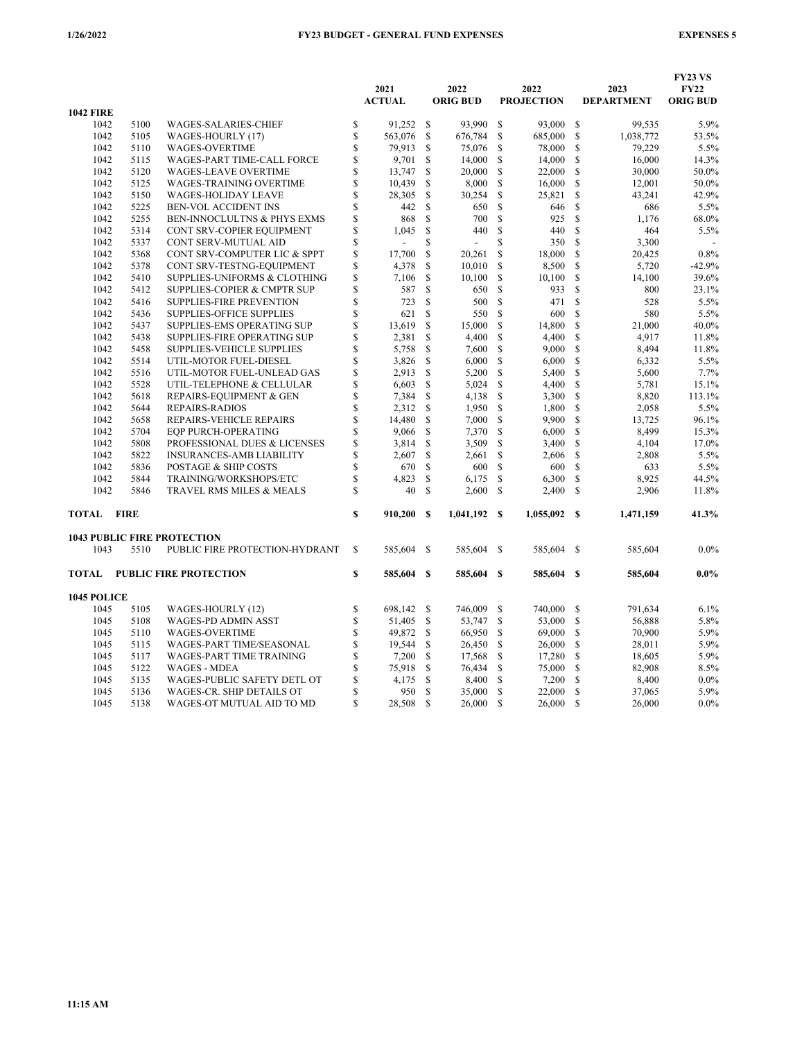|              |                                                                                                                                                                                                                                                                                                                          |                                                                                                                                                                                                                                                                                                                                                                                                                                                                                                                                                                                                                                                                                                                                                                                                                                                                                                                                                                                                | 2021                                                                                                                                                                            |                                                                                                                                                                                                                                                                                                     | 2022                                                                                                                                                                                                     |                                                                                                                                                                                                                                                                                            | 2022                                                                                                                                                                                                           |                                                                                                                                                                                                                                                                                                     | 2023                                                                                                                                                                                                  | <b>FY23 VS</b><br><b>FY22</b><br><b>ORIG BUD</b>                                                                                                                                                                                                                                                                     |
|--------------|--------------------------------------------------------------------------------------------------------------------------------------------------------------------------------------------------------------------------------------------------------------------------------------------------------------------------|------------------------------------------------------------------------------------------------------------------------------------------------------------------------------------------------------------------------------------------------------------------------------------------------------------------------------------------------------------------------------------------------------------------------------------------------------------------------------------------------------------------------------------------------------------------------------------------------------------------------------------------------------------------------------------------------------------------------------------------------------------------------------------------------------------------------------------------------------------------------------------------------------------------------------------------------------------------------------------------------|---------------------------------------------------------------------------------------------------------------------------------------------------------------------------------|-----------------------------------------------------------------------------------------------------------------------------------------------------------------------------------------------------------------------------------------------------------------------------------------------------|----------------------------------------------------------------------------------------------------------------------------------------------------------------------------------------------------------|--------------------------------------------------------------------------------------------------------------------------------------------------------------------------------------------------------------------------------------------------------------------------------------------|----------------------------------------------------------------------------------------------------------------------------------------------------------------------------------------------------------------|-----------------------------------------------------------------------------------------------------------------------------------------------------------------------------------------------------------------------------------------------------------------------------------------------------|-------------------------------------------------------------------------------------------------------------------------------------------------------------------------------------------------------|----------------------------------------------------------------------------------------------------------------------------------------------------------------------------------------------------------------------------------------------------------------------------------------------------------------------|
|              |                                                                                                                                                                                                                                                                                                                          |                                                                                                                                                                                                                                                                                                                                                                                                                                                                                                                                                                                                                                                                                                                                                                                                                                                                                                                                                                                                |                                                                                                                                                                                 |                                                                                                                                                                                                                                                                                                     |                                                                                                                                                                                                          |                                                                                                                                                                                                                                                                                            |                                                                                                                                                                                                                |                                                                                                                                                                                                                                                                                                     |                                                                                                                                                                                                       | 5.9%                                                                                                                                                                                                                                                                                                                 |
| 1042         |                                                                                                                                                                                                                                                                                                                          |                                                                                                                                                                                                                                                                                                                                                                                                                                                                                                                                                                                                                                                                                                                                                                                                                                                                                                                                                                                                |                                                                                                                                                                                 |                                                                                                                                                                                                                                                                                                     |                                                                                                                                                                                                          |                                                                                                                                                                                                                                                                                            |                                                                                                                                                                                                                |                                                                                                                                                                                                                                                                                                     |                                                                                                                                                                                                       | 53.5%                                                                                                                                                                                                                                                                                                                |
|              |                                                                                                                                                                                                                                                                                                                          |                                                                                                                                                                                                                                                                                                                                                                                                                                                                                                                                                                                                                                                                                                                                                                                                                                                                                                                                                                                                |                                                                                                                                                                                 |                                                                                                                                                                                                                                                                                                     |                                                                                                                                                                                                          |                                                                                                                                                                                                                                                                                            |                                                                                                                                                                                                                |                                                                                                                                                                                                                                                                                                     |                                                                                                                                                                                                       | 5.5%                                                                                                                                                                                                                                                                                                                 |
|              |                                                                                                                                                                                                                                                                                                                          |                                                                                                                                                                                                                                                                                                                                                                                                                                                                                                                                                                                                                                                                                                                                                                                                                                                                                                                                                                                                |                                                                                                                                                                                 |                                                                                                                                                                                                                                                                                                     |                                                                                                                                                                                                          |                                                                                                                                                                                                                                                                                            |                                                                                                                                                                                                                |                                                                                                                                                                                                                                                                                                     |                                                                                                                                                                                                       | 14.3%                                                                                                                                                                                                                                                                                                                |
|              |                                                                                                                                                                                                                                                                                                                          |                                                                                                                                                                                                                                                                                                                                                                                                                                                                                                                                                                                                                                                                                                                                                                                                                                                                                                                                                                                                |                                                                                                                                                                                 |                                                                                                                                                                                                                                                                                                     |                                                                                                                                                                                                          |                                                                                                                                                                                                                                                                                            |                                                                                                                                                                                                                |                                                                                                                                                                                                                                                                                                     |                                                                                                                                                                                                       | 50.0%                                                                                                                                                                                                                                                                                                                |
| 1042         |                                                                                                                                                                                                                                                                                                                          |                                                                                                                                                                                                                                                                                                                                                                                                                                                                                                                                                                                                                                                                                                                                                                                                                                                                                                                                                                                                |                                                                                                                                                                                 |                                                                                                                                                                                                                                                                                                     |                                                                                                                                                                                                          |                                                                                                                                                                                                                                                                                            |                                                                                                                                                                                                                |                                                                                                                                                                                                                                                                                                     |                                                                                                                                                                                                       | 50.0%                                                                                                                                                                                                                                                                                                                |
| 1042         |                                                                                                                                                                                                                                                                                                                          |                                                                                                                                                                                                                                                                                                                                                                                                                                                                                                                                                                                                                                                                                                                                                                                                                                                                                                                                                                                                |                                                                                                                                                                                 |                                                                                                                                                                                                                                                                                                     |                                                                                                                                                                                                          |                                                                                                                                                                                                                                                                                            |                                                                                                                                                                                                                |                                                                                                                                                                                                                                                                                                     |                                                                                                                                                                                                       | 42.9%                                                                                                                                                                                                                                                                                                                |
|              |                                                                                                                                                                                                                                                                                                                          |                                                                                                                                                                                                                                                                                                                                                                                                                                                                                                                                                                                                                                                                                                                                                                                                                                                                                                                                                                                                |                                                                                                                                                                                 |                                                                                                                                                                                                                                                                                                     |                                                                                                                                                                                                          |                                                                                                                                                                                                                                                                                            |                                                                                                                                                                                                                |                                                                                                                                                                                                                                                                                                     |                                                                                                                                                                                                       | 5.5%                                                                                                                                                                                                                                                                                                                 |
| 1042         |                                                                                                                                                                                                                                                                                                                          |                                                                                                                                                                                                                                                                                                                                                                                                                                                                                                                                                                                                                                                                                                                                                                                                                                                                                                                                                                                                |                                                                                                                                                                                 |                                                                                                                                                                                                                                                                                                     |                                                                                                                                                                                                          |                                                                                                                                                                                                                                                                                            |                                                                                                                                                                                                                |                                                                                                                                                                                                                                                                                                     |                                                                                                                                                                                                       | 68.0%                                                                                                                                                                                                                                                                                                                |
| 1042         |                                                                                                                                                                                                                                                                                                                          |                                                                                                                                                                                                                                                                                                                                                                                                                                                                                                                                                                                                                                                                                                                                                                                                                                                                                                                                                                                                |                                                                                                                                                                                 |                                                                                                                                                                                                                                                                                                     |                                                                                                                                                                                                          |                                                                                                                                                                                                                                                                                            |                                                                                                                                                                                                                |                                                                                                                                                                                                                                                                                                     |                                                                                                                                                                                                       | 5.5%                                                                                                                                                                                                                                                                                                                 |
| 1042         |                                                                                                                                                                                                                                                                                                                          |                                                                                                                                                                                                                                                                                                                                                                                                                                                                                                                                                                                                                                                                                                                                                                                                                                                                                                                                                                                                |                                                                                                                                                                                 |                                                                                                                                                                                                                                                                                                     |                                                                                                                                                                                                          |                                                                                                                                                                                                                                                                                            |                                                                                                                                                                                                                |                                                                                                                                                                                                                                                                                                     |                                                                                                                                                                                                       |                                                                                                                                                                                                                                                                                                                      |
| 1042         |                                                                                                                                                                                                                                                                                                                          |                                                                                                                                                                                                                                                                                                                                                                                                                                                                                                                                                                                                                                                                                                                                                                                                                                                                                                                                                                                                |                                                                                                                                                                                 |                                                                                                                                                                                                                                                                                                     |                                                                                                                                                                                                          |                                                                                                                                                                                                                                                                                            |                                                                                                                                                                                                                |                                                                                                                                                                                                                                                                                                     |                                                                                                                                                                                                       | 0.8%                                                                                                                                                                                                                                                                                                                 |
| 1042         |                                                                                                                                                                                                                                                                                                                          |                                                                                                                                                                                                                                                                                                                                                                                                                                                                                                                                                                                                                                                                                                                                                                                                                                                                                                                                                                                                |                                                                                                                                                                                 |                                                                                                                                                                                                                                                                                                     |                                                                                                                                                                                                          |                                                                                                                                                                                                                                                                                            |                                                                                                                                                                                                                |                                                                                                                                                                                                                                                                                                     |                                                                                                                                                                                                       | $-42.9%$                                                                                                                                                                                                                                                                                                             |
| 1042         |                                                                                                                                                                                                                                                                                                                          |                                                                                                                                                                                                                                                                                                                                                                                                                                                                                                                                                                                                                                                                                                                                                                                                                                                                                                                                                                                                |                                                                                                                                                                                 |                                                                                                                                                                                                                                                                                                     |                                                                                                                                                                                                          |                                                                                                                                                                                                                                                                                            |                                                                                                                                                                                                                |                                                                                                                                                                                                                                                                                                     |                                                                                                                                                                                                       | 39.6%                                                                                                                                                                                                                                                                                                                |
| 1042         |                                                                                                                                                                                                                                                                                                                          |                                                                                                                                                                                                                                                                                                                                                                                                                                                                                                                                                                                                                                                                                                                                                                                                                                                                                                                                                                                                |                                                                                                                                                                                 |                                                                                                                                                                                                                                                                                                     |                                                                                                                                                                                                          |                                                                                                                                                                                                                                                                                            |                                                                                                                                                                                                                |                                                                                                                                                                                                                                                                                                     |                                                                                                                                                                                                       | 23.1%                                                                                                                                                                                                                                                                                                                |
| 1042         |                                                                                                                                                                                                                                                                                                                          |                                                                                                                                                                                                                                                                                                                                                                                                                                                                                                                                                                                                                                                                                                                                                                                                                                                                                                                                                                                                |                                                                                                                                                                                 |                                                                                                                                                                                                                                                                                                     |                                                                                                                                                                                                          |                                                                                                                                                                                                                                                                                            |                                                                                                                                                                                                                |                                                                                                                                                                                                                                                                                                     |                                                                                                                                                                                                       | 5.5%                                                                                                                                                                                                                                                                                                                 |
| 1042         |                                                                                                                                                                                                                                                                                                                          |                                                                                                                                                                                                                                                                                                                                                                                                                                                                                                                                                                                                                                                                                                                                                                                                                                                                                                                                                                                                |                                                                                                                                                                                 |                                                                                                                                                                                                                                                                                                     |                                                                                                                                                                                                          |                                                                                                                                                                                                                                                                                            |                                                                                                                                                                                                                |                                                                                                                                                                                                                                                                                                     |                                                                                                                                                                                                       | 5.5%                                                                                                                                                                                                                                                                                                                 |
| 1042         |                                                                                                                                                                                                                                                                                                                          |                                                                                                                                                                                                                                                                                                                                                                                                                                                                                                                                                                                                                                                                                                                                                                                                                                                                                                                                                                                                |                                                                                                                                                                                 |                                                                                                                                                                                                                                                                                                     |                                                                                                                                                                                                          |                                                                                                                                                                                                                                                                                            |                                                                                                                                                                                                                |                                                                                                                                                                                                                                                                                                     |                                                                                                                                                                                                       | 40.0%                                                                                                                                                                                                                                                                                                                |
| 1042         |                                                                                                                                                                                                                                                                                                                          |                                                                                                                                                                                                                                                                                                                                                                                                                                                                                                                                                                                                                                                                                                                                                                                                                                                                                                                                                                                                |                                                                                                                                                                                 |                                                                                                                                                                                                                                                                                                     |                                                                                                                                                                                                          |                                                                                                                                                                                                                                                                                            |                                                                                                                                                                                                                |                                                                                                                                                                                                                                                                                                     |                                                                                                                                                                                                       | 11.8%                                                                                                                                                                                                                                                                                                                |
| 1042         |                                                                                                                                                                                                                                                                                                                          |                                                                                                                                                                                                                                                                                                                                                                                                                                                                                                                                                                                                                                                                                                                                                                                                                                                                                                                                                                                                |                                                                                                                                                                                 |                                                                                                                                                                                                                                                                                                     |                                                                                                                                                                                                          |                                                                                                                                                                                                                                                                                            |                                                                                                                                                                                                                |                                                                                                                                                                                                                                                                                                     |                                                                                                                                                                                                       | 11.8%                                                                                                                                                                                                                                                                                                                |
| 1042         |                                                                                                                                                                                                                                                                                                                          |                                                                                                                                                                                                                                                                                                                                                                                                                                                                                                                                                                                                                                                                                                                                                                                                                                                                                                                                                                                                |                                                                                                                                                                                 |                                                                                                                                                                                                                                                                                                     |                                                                                                                                                                                                          |                                                                                                                                                                                                                                                                                            |                                                                                                                                                                                                                |                                                                                                                                                                                                                                                                                                     |                                                                                                                                                                                                       | 5.5%                                                                                                                                                                                                                                                                                                                 |
| 1042         |                                                                                                                                                                                                                                                                                                                          |                                                                                                                                                                                                                                                                                                                                                                                                                                                                                                                                                                                                                                                                                                                                                                                                                                                                                                                                                                                                |                                                                                                                                                                                 |                                                                                                                                                                                                                                                                                                     |                                                                                                                                                                                                          |                                                                                                                                                                                                                                                                                            |                                                                                                                                                                                                                |                                                                                                                                                                                                                                                                                                     |                                                                                                                                                                                                       | 7.7%                                                                                                                                                                                                                                                                                                                 |
| 1042         |                                                                                                                                                                                                                                                                                                                          |                                                                                                                                                                                                                                                                                                                                                                                                                                                                                                                                                                                                                                                                                                                                                                                                                                                                                                                                                                                                |                                                                                                                                                                                 |                                                                                                                                                                                                                                                                                                     |                                                                                                                                                                                                          |                                                                                                                                                                                                                                                                                            |                                                                                                                                                                                                                |                                                                                                                                                                                                                                                                                                     |                                                                                                                                                                                                       | 15.1%                                                                                                                                                                                                                                                                                                                |
| 1042         |                                                                                                                                                                                                                                                                                                                          |                                                                                                                                                                                                                                                                                                                                                                                                                                                                                                                                                                                                                                                                                                                                                                                                                                                                                                                                                                                                |                                                                                                                                                                                 |                                                                                                                                                                                                                                                                                                     |                                                                                                                                                                                                          |                                                                                                                                                                                                                                                                                            |                                                                                                                                                                                                                |                                                                                                                                                                                                                                                                                                     |                                                                                                                                                                                                       | 113.1%                                                                                                                                                                                                                                                                                                               |
| 1042         |                                                                                                                                                                                                                                                                                                                          |                                                                                                                                                                                                                                                                                                                                                                                                                                                                                                                                                                                                                                                                                                                                                                                                                                                                                                                                                                                                |                                                                                                                                                                                 |                                                                                                                                                                                                                                                                                                     |                                                                                                                                                                                                          |                                                                                                                                                                                                                                                                                            |                                                                                                                                                                                                                |                                                                                                                                                                                                                                                                                                     |                                                                                                                                                                                                       | 5.5%                                                                                                                                                                                                                                                                                                                 |
| 1042         |                                                                                                                                                                                                                                                                                                                          |                                                                                                                                                                                                                                                                                                                                                                                                                                                                                                                                                                                                                                                                                                                                                                                                                                                                                                                                                                                                |                                                                                                                                                                                 |                                                                                                                                                                                                                                                                                                     |                                                                                                                                                                                                          |                                                                                                                                                                                                                                                                                            |                                                                                                                                                                                                                |                                                                                                                                                                                                                                                                                                     |                                                                                                                                                                                                       | 96.1%                                                                                                                                                                                                                                                                                                                |
| 1042         |                                                                                                                                                                                                                                                                                                                          |                                                                                                                                                                                                                                                                                                                                                                                                                                                                                                                                                                                                                                                                                                                                                                                                                                                                                                                                                                                                |                                                                                                                                                                                 |                                                                                                                                                                                                                                                                                                     |                                                                                                                                                                                                          |                                                                                                                                                                                                                                                                                            |                                                                                                                                                                                                                |                                                                                                                                                                                                                                                                                                     |                                                                                                                                                                                                       | 15.3%                                                                                                                                                                                                                                                                                                                |
| 1042         |                                                                                                                                                                                                                                                                                                                          |                                                                                                                                                                                                                                                                                                                                                                                                                                                                                                                                                                                                                                                                                                                                                                                                                                                                                                                                                                                                |                                                                                                                                                                                 |                                                                                                                                                                                                                                                                                                     |                                                                                                                                                                                                          |                                                                                                                                                                                                                                                                                            |                                                                                                                                                                                                                |                                                                                                                                                                                                                                                                                                     |                                                                                                                                                                                                       | 17.0%                                                                                                                                                                                                                                                                                                                |
|              |                                                                                                                                                                                                                                                                                                                          |                                                                                                                                                                                                                                                                                                                                                                                                                                                                                                                                                                                                                                                                                                                                                                                                                                                                                                                                                                                                |                                                                                                                                                                                 |                                                                                                                                                                                                                                                                                                     |                                                                                                                                                                                                          |                                                                                                                                                                                                                                                                                            |                                                                                                                                                                                                                |                                                                                                                                                                                                                                                                                                     |                                                                                                                                                                                                       | 5.5%                                                                                                                                                                                                                                                                                                                 |
| 1042         |                                                                                                                                                                                                                                                                                                                          |                                                                                                                                                                                                                                                                                                                                                                                                                                                                                                                                                                                                                                                                                                                                                                                                                                                                                                                                                                                                |                                                                                                                                                                                 |                                                                                                                                                                                                                                                                                                     |                                                                                                                                                                                                          |                                                                                                                                                                                                                                                                                            |                                                                                                                                                                                                                |                                                                                                                                                                                                                                                                                                     |                                                                                                                                                                                                       | 5.5%                                                                                                                                                                                                                                                                                                                 |
| 1042         |                                                                                                                                                                                                                                                                                                                          |                                                                                                                                                                                                                                                                                                                                                                                                                                                                                                                                                                                                                                                                                                                                                                                                                                                                                                                                                                                                |                                                                                                                                                                                 |                                                                                                                                                                                                                                                                                                     |                                                                                                                                                                                                          |                                                                                                                                                                                                                                                                                            |                                                                                                                                                                                                                |                                                                                                                                                                                                                                                                                                     |                                                                                                                                                                                                       | 44.5%                                                                                                                                                                                                                                                                                                                |
| 1042<br>5846 | <b>TRAVEL RMS MILES &amp; MEALS</b>                                                                                                                                                                                                                                                                                      | \$                                                                                                                                                                                                                                                                                                                                                                                                                                                                                                                                                                                                                                                                                                                                                                                                                                                                                                                                                                                             | 40                                                                                                                                                                              | \$                                                                                                                                                                                                                                                                                                  | 2,600                                                                                                                                                                                                    | \$                                                                                                                                                                                                                                                                                         | 2,400                                                                                                                                                                                                          | S                                                                                                                                                                                                                                                                                                   | 2,906                                                                                                                                                                                                 | 11.8%                                                                                                                                                                                                                                                                                                                |
| <b>FIRE</b>  |                                                                                                                                                                                                                                                                                                                          | \$                                                                                                                                                                                                                                                                                                                                                                                                                                                                                                                                                                                                                                                                                                                                                                                                                                                                                                                                                                                             | 910,200                                                                                                                                                                         | <sup>\$</sup>                                                                                                                                                                                                                                                                                       | 1,041,192                                                                                                                                                                                                |                                                                                                                                                                                                                                                                                            | 1,055,092                                                                                                                                                                                                      | <b>S</b>                                                                                                                                                                                                                                                                                            | 1,471,159                                                                                                                                                                                             | 41.3%                                                                                                                                                                                                                                                                                                                |
|              |                                                                                                                                                                                                                                                                                                                          |                                                                                                                                                                                                                                                                                                                                                                                                                                                                                                                                                                                                                                                                                                                                                                                                                                                                                                                                                                                                |                                                                                                                                                                                 |                                                                                                                                                                                                                                                                                                     |                                                                                                                                                                                                          |                                                                                                                                                                                                                                                                                            |                                                                                                                                                                                                                |                                                                                                                                                                                                                                                                                                     |                                                                                                                                                                                                       |                                                                                                                                                                                                                                                                                                                      |
| 5510<br>1043 | PUBLIC FIRE PROTECTION-HYDRANT                                                                                                                                                                                                                                                                                           | S                                                                                                                                                                                                                                                                                                                                                                                                                                                                                                                                                                                                                                                                                                                                                                                                                                                                                                                                                                                              | 585,604                                                                                                                                                                         | \$                                                                                                                                                                                                                                                                                                  | 585,604                                                                                                                                                                                                  | <sup>\$</sup>                                                                                                                                                                                                                                                                              | 585,604                                                                                                                                                                                                        | <sup>\$</sup>                                                                                                                                                                                                                                                                                       | 585,604                                                                                                                                                                                               | 0.0%                                                                                                                                                                                                                                                                                                                 |
|              |                                                                                                                                                                                                                                                                                                                          | \$                                                                                                                                                                                                                                                                                                                                                                                                                                                                                                                                                                                                                                                                                                                                                                                                                                                                                                                                                                                             | 585,604                                                                                                                                                                         | -S                                                                                                                                                                                                                                                                                                  | 585,604                                                                                                                                                                                                  | - \$                                                                                                                                                                                                                                                                                       |                                                                                                                                                                                                                | -S                                                                                                                                                                                                                                                                                                  | 585,604                                                                                                                                                                                               | $0.0\%$                                                                                                                                                                                                                                                                                                              |
| 1045 POLICE  |                                                                                                                                                                                                                                                                                                                          |                                                                                                                                                                                                                                                                                                                                                                                                                                                                                                                                                                                                                                                                                                                                                                                                                                                                                                                                                                                                |                                                                                                                                                                                 |                                                                                                                                                                                                                                                                                                     |                                                                                                                                                                                                          |                                                                                                                                                                                                                                                                                            |                                                                                                                                                                                                                |                                                                                                                                                                                                                                                                                                     |                                                                                                                                                                                                       |                                                                                                                                                                                                                                                                                                                      |
| 1045<br>5105 | WAGES-HOURLY (12)                                                                                                                                                                                                                                                                                                        | \$                                                                                                                                                                                                                                                                                                                                                                                                                                                                                                                                                                                                                                                                                                                                                                                                                                                                                                                                                                                             | 698,142                                                                                                                                                                         | \$                                                                                                                                                                                                                                                                                                  | 746,009                                                                                                                                                                                                  | \$                                                                                                                                                                                                                                                                                         | 740,000                                                                                                                                                                                                        | S                                                                                                                                                                                                                                                                                                   | 791,634                                                                                                                                                                                               | 6.1%                                                                                                                                                                                                                                                                                                                 |
| 1045<br>5108 | <b>WAGES-PD ADMIN ASST</b>                                                                                                                                                                                                                                                                                               | \$                                                                                                                                                                                                                                                                                                                                                                                                                                                                                                                                                                                                                                                                                                                                                                                                                                                                                                                                                                                             |                                                                                                                                                                                 | \$                                                                                                                                                                                                                                                                                                  | 53,747                                                                                                                                                                                                   | \$                                                                                                                                                                                                                                                                                         | 53,000                                                                                                                                                                                                         | S                                                                                                                                                                                                                                                                                                   |                                                                                                                                                                                                       | 5.8%                                                                                                                                                                                                                                                                                                                 |
| 1045<br>5110 | <b>WAGES-OVERTIME</b>                                                                                                                                                                                                                                                                                                    | \$                                                                                                                                                                                                                                                                                                                                                                                                                                                                                                                                                                                                                                                                                                                                                                                                                                                                                                                                                                                             | 49,872                                                                                                                                                                          | \$                                                                                                                                                                                                                                                                                                  | 66,950                                                                                                                                                                                                   | \$                                                                                                                                                                                                                                                                                         | 69,000                                                                                                                                                                                                         | \$                                                                                                                                                                                                                                                                                                  | 70,900                                                                                                                                                                                                | 5.9%                                                                                                                                                                                                                                                                                                                 |
| 1045<br>5115 | WAGES-PART TIME/SEASONAL                                                                                                                                                                                                                                                                                                 | \$                                                                                                                                                                                                                                                                                                                                                                                                                                                                                                                                                                                                                                                                                                                                                                                                                                                                                                                                                                                             | 19,544                                                                                                                                                                          | \$                                                                                                                                                                                                                                                                                                  | 26,450                                                                                                                                                                                                   | \$                                                                                                                                                                                                                                                                                         | 26,000                                                                                                                                                                                                         | \$                                                                                                                                                                                                                                                                                                  | 28,011                                                                                                                                                                                                | 5.9%                                                                                                                                                                                                                                                                                                                 |
| 1045<br>5117 | WAGES-PART TIME TRAINING                                                                                                                                                                                                                                                                                                 | \$                                                                                                                                                                                                                                                                                                                                                                                                                                                                                                                                                                                                                                                                                                                                                                                                                                                                                                                                                                                             | 7,200                                                                                                                                                                           | \$                                                                                                                                                                                                                                                                                                  | 17,568                                                                                                                                                                                                   | \$                                                                                                                                                                                                                                                                                         | 17,280                                                                                                                                                                                                         | \$                                                                                                                                                                                                                                                                                                  | 18,605                                                                                                                                                                                                | 5.9%                                                                                                                                                                                                                                                                                                                 |
| 1045<br>5122 | <b>WAGES - MDEA</b>                                                                                                                                                                                                                                                                                                      | \$                                                                                                                                                                                                                                                                                                                                                                                                                                                                                                                                                                                                                                                                                                                                                                                                                                                                                                                                                                                             | 75,918                                                                                                                                                                          | \$                                                                                                                                                                                                                                                                                                  | 76,434                                                                                                                                                                                                   | \$                                                                                                                                                                                                                                                                                         | 75,000                                                                                                                                                                                                         | \$                                                                                                                                                                                                                                                                                                  | 82,908                                                                                                                                                                                                | 8.5%                                                                                                                                                                                                                                                                                                                 |
| 1045<br>5135 | WAGES-PUBLIC SAFETY DETL OT                                                                                                                                                                                                                                                                                              | \$                                                                                                                                                                                                                                                                                                                                                                                                                                                                                                                                                                                                                                                                                                                                                                                                                                                                                                                                                                                             | 4,175                                                                                                                                                                           | \$                                                                                                                                                                                                                                                                                                  | 8,400                                                                                                                                                                                                    | \$                                                                                                                                                                                                                                                                                         | 7,200                                                                                                                                                                                                          | \$                                                                                                                                                                                                                                                                                                  | 8,400                                                                                                                                                                                                 | 0.0%                                                                                                                                                                                                                                                                                                                 |
| 1045<br>5136 | WAGES-CR. SHIP DETAILS OT                                                                                                                                                                                                                                                                                                | \$                                                                                                                                                                                                                                                                                                                                                                                                                                                                                                                                                                                                                                                                                                                                                                                                                                                                                                                                                                                             | 950                                                                                                                                                                             | $\mathbf S$                                                                                                                                                                                                                                                                                         | 35,000                                                                                                                                                                                                   | \$                                                                                                                                                                                                                                                                                         | 22,000                                                                                                                                                                                                         | \$                                                                                                                                                                                                                                                                                                  | 37,065                                                                                                                                                                                                | 5.9%                                                                                                                                                                                                                                                                                                                 |
| 1045<br>5138 | WAGES-OT MUTUAL AID TO MD                                                                                                                                                                                                                                                                                                | S                                                                                                                                                                                                                                                                                                                                                                                                                                                                                                                                                                                                                                                                                                                                                                                                                                                                                                                                                                                              | 28,508                                                                                                                                                                          | $\mathbf S$                                                                                                                                                                                                                                                                                         | 26,000                                                                                                                                                                                                   | S                                                                                                                                                                                                                                                                                          | 26,000                                                                                                                                                                                                         | S                                                                                                                                                                                                                                                                                                   | 26,000                                                                                                                                                                                                | 0.0%                                                                                                                                                                                                                                                                                                                 |
|              | <b>1042 FIRE</b><br>5100<br>1042<br>5105<br>1042<br>5110<br>1042<br>5115<br>1042<br>5120<br>5125<br>5150<br>1042<br>5225<br>5255<br>5314<br>5337<br>5368<br>5378<br>5410<br>5412<br>5416<br>5436<br>5437<br>5438<br>5458<br>5514<br>5516<br>5528<br>5618<br>5644<br>5658<br>5704<br>5808<br>1042<br>5822<br>5836<br>5844 | WAGES-SALARIES-CHIEF<br>WAGES-HOURLY (17)<br><b>WAGES-OVERTIME</b><br>WAGES-PART TIME-CALL FORCE<br><b>WAGES-LEAVE OVERTIME</b><br><b>WAGES-TRAINING OVERTIME</b><br><b>WAGES-HOLIDAY LEAVE</b><br><b>BEN-VOL ACCIDENT INS</b><br>BEN-INNOCLULTNS & PHYS EXMS<br>CONT SRV-COPIER EQUIPMENT<br>CONT SERV-MUTUAL AID<br>CONT SRV-COMPUTER LIC & SPPT<br>CONT SRV-TESTNG-EQUIPMENT<br>SUPPLIES-UNIFORMS & CLOTHING<br>SUPPLIES-COPIER & CMPTR SUP<br>SUPPLIES-FIRE PREVENTION<br>SUPPLIES-OFFICE SUPPLIES<br>SUPPLIES-EMS OPERATING SUP<br>SUPPLIES-FIRE OPERATING SUP<br>SUPPLIES-VEHICLE SUPPLIES<br>UTIL-MOTOR FUEL-DIESEL<br>UTIL-MOTOR FUEL-UNLEAD GAS<br>UTIL-TELEPHONE & CELLULAR<br>REPAIRS-EQUIPMENT & GEN<br><b>REPAIRS-RADIOS</b><br>REPAIRS-VEHICLE REPAIRS<br><b>EOP PURCH-OPERATING</b><br>PROFESSIONAL DUES & LICENSES<br><b>INSURANCES-AMB LIABILITY</b><br>POSTAGE & SHIP COSTS<br>TRAINING/WORKSHOPS/ETC<br><b>1043 PUBLIC FIRE PROTECTION</b><br><b>PUBLIC FIRE PROTECTION</b> | \$<br>S<br>\$<br>\$<br>S<br>\$<br>S<br>\$<br>\$<br>\$<br>\$<br>\$<br>\$<br>\$<br>\$<br>\$<br>\$<br>S<br>\$<br>\$<br>\$<br>\$<br>S<br>\$<br>\$<br>\$<br>S<br>S<br>\$<br>\$<br>\$ | <b>ACTUAL</b><br>91,252<br>563,076<br>79,913<br>9,701<br>13,747<br>10,439<br>28,305<br>442<br>868<br>1,045<br>17,700<br>4,378<br>7,106<br>587<br>723<br>621<br>13,619<br>2,381<br>5,758<br>3,826<br>2,913<br>6,603<br>7,384<br>2,312<br>14,480<br>9,066<br>3,814<br>2,607<br>670<br>4,823<br>51,405 | \$<br>\$<br>\$<br>\$<br>\$<br>\$<br>\$<br>\$<br>\$<br>\$<br>\$<br>\$<br>\$<br>\$<br>\$<br>\$<br>\$<br>\$<br>\$<br>\$<br>\$<br>$\mathbf S$<br>\$<br>\$<br>\$<br>\$<br>\$<br>\$<br>\$<br>$\mathbf S$<br>\$ | <b>ORIG BUD</b><br>93,990<br>676.784<br>75,076<br>14,000<br>20,000<br>8,000<br>30,254<br>650<br>700<br>440<br>20,261<br>10,010<br>10,100<br>650<br>500<br>550<br>15,000<br>4,400<br>7,600<br>6,000<br>5,200<br>5,024<br>4,138<br>1,950<br>7,000<br>7,370<br>3,509<br>2,661<br>600<br>6,175 | \$<br>$\mathbf S$<br>\$<br>\$<br>\$<br>\$<br>\$<br>\$<br>\$<br>\$<br>\$<br>\$<br>\$<br>S<br>\$<br>S<br>\$<br>\$<br>\$<br>\$<br>\$<br>\$<br>\$<br>\$<br>\$<br>\$<br>\$<br>\$<br>\$<br>$\mathbf S$<br>\$<br>- \$ | <b>PROJECTION</b><br>93,000<br>685,000<br>78,000<br>14,000<br>22,000<br>16,000<br>25,821<br>646<br>925<br>440<br>350<br>18,000<br>8,500<br>10,100<br>933<br>471<br>600<br>14,800<br>4,400<br>9,000<br>6,000<br>5,400<br>4,400<br>3,300<br>1,800<br>9,900<br>6,000<br>3,400<br>2,606<br>600<br>6,300 | \$<br><sup>\$</sup><br>\$<br>\$<br>\$<br>\$<br>S<br>\$<br>\$<br>S<br>S<br>\$<br>\$<br>S<br>\$<br>\$<br>S<br>\$<br>\$<br>\$<br>\$<br>\$<br>\$<br>\$<br>\$<br>\$<br>\$<br>\$<br>\$<br>S<br>S<br>585,604 | <b>DEPARTMENT</b><br>99,535<br>1,038,772<br>79,229<br>16,000<br>30,000<br>12,001<br>43,241<br>686<br>1,176<br>464<br>3,300<br>20,425<br>5,720<br>14,100<br>800<br>528<br>580<br>21,000<br>4,917<br>8,494<br>6,332<br>5,600<br>5,781<br>8,820<br>2,058<br>13,725<br>8,499<br>4,104<br>2,808<br>633<br>8,925<br>56,888 |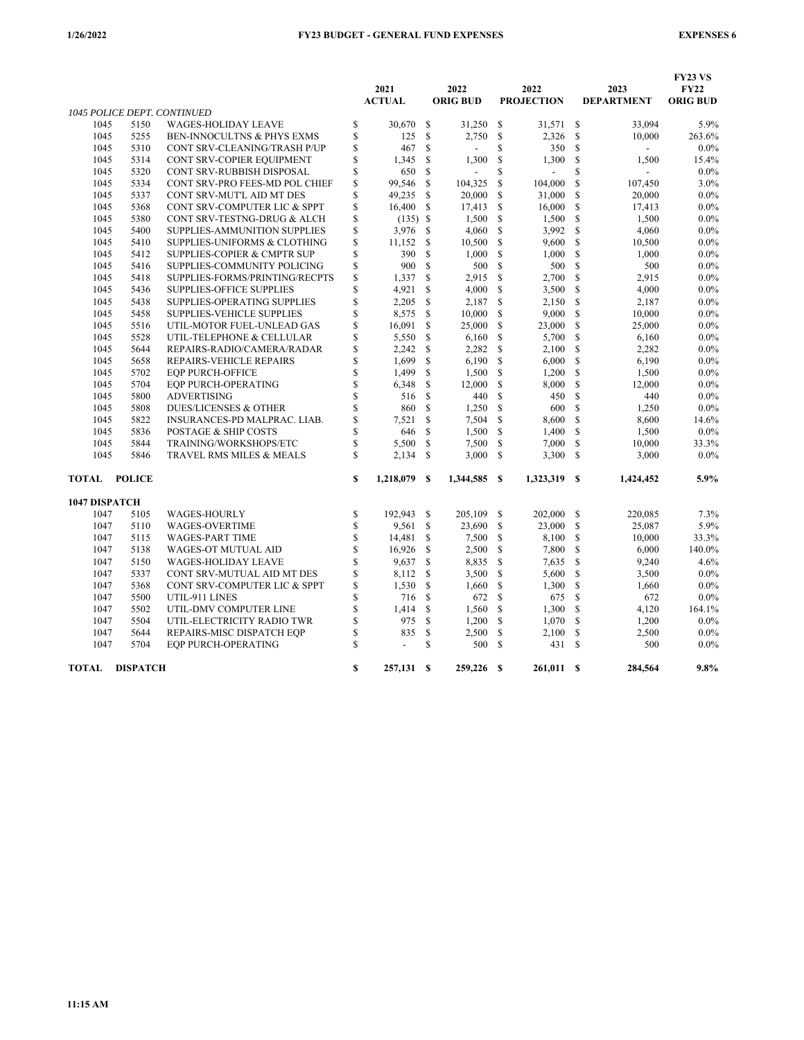|               |                 |                                  |    | 2021<br><b>ACTUAL</b> |               | 2022<br><b>ORIG BUD</b> |              | 2022<br><b>PROJECTION</b> |    | 2023<br><b>DEPARTMENT</b> | <b>FY23 VS</b><br><b>FY22</b><br><b>ORIG BUD</b> |
|---------------|-----------------|----------------------------------|----|-----------------------|---------------|-------------------------|--------------|---------------------------|----|---------------------------|--------------------------------------------------|
|               |                 | 1045 POLICE DEPT. CONTINUED      |    |                       |               |                         |              |                           |    |                           |                                                  |
| 1045          | 5150            | <b>WAGES-HOLIDAY LEAVE</b>       | \$ | 30,670                | \$            | 31,250                  | \$           | 31,571                    | \$ | 33.094                    | 5.9%                                             |
| 1045          | 5255            | BEN-INNOCULTNS & PHYS EXMS       | \$ | 125                   | \$            | 2,750                   | \$           | 2,326                     | \$ | 10,000                    | 263.6%                                           |
| 1045          | 5310            | CONT SRV-CLEANING/TRASH P/UP     | \$ | 467                   | \$            | $\overline{a}$          | \$           | 350                       | \$ | $\mathcal{L}$             | $0.0\%$                                          |
| 1045          | 5314            | CONT SRV-COPIER EQUIPMENT        | \$ | 1,345                 | \$            | 1,300                   | \$           | 1,300                     | \$ | 1,500                     | 15.4%                                            |
| 1045          | 5320            | CONT SRV-RUBBISH DISPOSAL        | \$ | 650                   | \$            |                         | \$           | $\overline{a}$            | S  | $\overline{a}$            | 0.0%                                             |
| 1045          | 5334            | CONT SRV-PRO FEES-MD POL CHIEF   | \$ | 99,546                | \$            | 104,325                 | \$           | 104,000                   | \$ | 107,450                   | 3.0%                                             |
| 1045          | 5337            | CONT SRV-MUT'L AID MT DES        | \$ | 49,235                | \$            | 20,000                  | \$           | 31,000                    | \$ | 20,000                    | 0.0%                                             |
| 1045          | 5368            | CONT SRV-COMPUTER LIC & SPPT     | \$ | 16,400                | \$            | 17,413                  | \$           | 16,000                    | \$ | 17,413                    | $0.0\%$                                          |
| 1045          | 5380            | CONT SRV-TESTNG-DRUG & ALCH      | \$ | (135)                 | -S            | 1,500                   | \$           | 1,500                     | \$ | 1,500                     | 0.0%                                             |
| 1045          | 5400            | SUPPLIES-AMMUNITION SUPPLIES     | \$ | 3,976                 | \$            | 4,060                   | \$           | 3,992                     | S  | 4,060                     | 0.0%                                             |
| 1045          | 5410            | SUPPLIES-UNIFORMS & CLOTHING     | \$ | 11,152                | \$            | 10,500                  | \$           | 9,600                     | S  | 10,500                    | 0.0%                                             |
| 1045          | 5412            | SUPPLIES-COPIER & CMPTR SUP      | \$ | 390                   | \$            | 1,000                   | \$           | 1,000                     | S  | 1,000                     | 0.0%                                             |
| 1045          | 5416            | SUPPLIES-COMMUNITY POLICING      | \$ | 900                   | \$            | 500                     | \$           | 500                       | S  | 500                       | $0.0\%$                                          |
| 1045          | 5418            | SUPPLIES-FORMS/PRINTING/RECPTS   | \$ | 1,337                 | \$            | 2,915                   | \$           | 2,700                     | \$ | 2,915                     | 0.0%                                             |
| 1045          | 5436            | SUPPLIES-OFFICE SUPPLIES         | \$ | 4,921                 | \$            | 4,000                   | \$           | 3,500                     | S  | 4,000                     | $0.0\%$                                          |
| 1045          | 5438            | SUPPLIES-OPERATING SUPPLIES      | \$ | 2,205                 | \$            | 2,187                   | \$           | 2,150                     | \$ | 2,187                     | $0.0\%$                                          |
| 1045          | 5458            | SUPPLIES-VEHICLE SUPPLIES        | \$ | 8,575                 | \$            | 10,000                  | \$           | 9,000                     | S  | 10,000                    | $0.0\%$                                          |
| 1045          | 5516            | UTIL-MOTOR FUEL-UNLEAD GAS       | \$ | 16,091                | \$            | 25,000                  | \$           | 23,000                    | S  | 25,000                    | $0.0\%$                                          |
| 1045          | 5528            | UTIL-TELEPHONE & CELLULAR        | \$ | 5,550                 | \$            | 6,160                   | \$           | 5,700                     | S  | 6,160                     | $0.0\%$                                          |
| 1045          | 5644            | REPAIRS-RADIO/CAMERA/RADAR       | \$ | 2,242                 | \$            | 2,282                   | \$           | 2,100                     | \$ | 2,282                     | $0.0\%$                                          |
| 1045          | 5658            | <b>REPAIRS-VEHICLE REPAIRS</b>   | \$ | 1.699                 | \$            | 6,190                   | S            | 6,000                     | \$ | 6,190                     | 0.0%                                             |
| 1045          | 5702            | <b>EOP PURCH-OFFICE</b>          | \$ | 1,499                 | \$            | 1,500                   | \$           | 1,200                     | \$ | 1,500                     | $0.0\%$                                          |
| 1045          | 5704            | <b>EQP PURCH-OPERATING</b>       | \$ | 6,348                 | \$            | 12,000                  | \$           | 8,000                     | \$ | 12,000                    | 0.0%                                             |
| 1045          | 5800            | <b>ADVERTISING</b>               | Ŝ  | 516                   | \$            | 440                     | \$           | 450                       | \$ | 440                       | $0.0\%$                                          |
| 1045          | 5808            | <b>DUES/LICENSES &amp; OTHER</b> | \$ | 860                   | \$            | 1,250                   | \$           | 600                       | \$ | 1,250                     | 0.0%                                             |
| 1045          | 5822            | INSURANCES-PD MALPRAC. LIAB.     | \$ | 7,521                 | \$            | 7,504                   | \$           | 8,600                     | S  | 8,600                     | 14.6%                                            |
| 1045          | 5836            | POSTAGE & SHIP COSTS             | \$ | 646                   | \$            | 1,500                   | \$           | 1,400                     | \$ | 1,500                     | $0.0\%$                                          |
| 1045          | 5844            | TRAINING/WORKSHOPS/ETC           | \$ | 5,500                 | \$            | 7.500                   | \$           | 7,000                     | \$ | 10,000                    | 33.3%                                            |
| 1045          | 5846            | TRAVEL RMS MILES & MEALS         | S  | 2,134                 | <sup>\$</sup> | 3,000                   | S            | 3,300                     | S  | 3,000                     | $0.0\%$                                          |
| <b>TOTAL</b>  | <b>POLICE</b>   |                                  | \$ | 1,218,079             | - \$          | 1,344,585               | <sup>S</sup> | 1,323,319                 | -S | 1,424,452                 | 5.9%                                             |
| 1047 DISPATCH |                 |                                  |    |                       |               |                         |              |                           |    |                           |                                                  |
| 1047          | 5105            | <b>WAGES-HOURLY</b>              | \$ | 192,943               | \$            | 205,109                 | \$           | 202,000                   | \$ | 220,085                   | 7.3%                                             |
| 1047          | 5110            | <b>WAGES-OVERTIME</b>            | \$ | 9.561                 | \$            | 23,690                  | S            | 23,000                    | S  | 25,087                    | 5.9%                                             |
| 1047          | 5115            | <b>WAGES-PART TIME</b>           | \$ | 14,481                | \$            | 7,500                   | \$           | 8,100                     | \$ | 10,000                    | 33.3%                                            |
| 1047          | 5138            | <b>WAGES-OT MUTUAL AID</b>       | \$ | 16,926                | \$            | 2,500                   | \$           | 7,800                     | \$ | 6,000                     | 140.0%                                           |
| 1047          | 5150            | <b>WAGES-HOLIDAY LEAVE</b>       | \$ | 9,637                 | \$            | 8,835                   | \$           | 7,635                     | \$ | 9,240                     | 4.6%                                             |
| 1047          | 5337            | CONT SRV-MUTUAL AID MT DES       | \$ | 8,112                 | \$            | 3,500                   | \$           | 5,600                     | S  | 3,500                     | $0.0\%$                                          |
| 1047          | 5368            | CONT SRV-COMPUTER LIC & SPPT     | \$ | 1,530                 | \$            | 1,660                   | \$           | 1,300                     | S  | 1,660                     | $0.0\%$                                          |
| 1047          | 5500            | UTIL-911 LINES                   | \$ | 716                   | \$            | 672                     | $\mathbf S$  | 675                       | \$ | 672                       | $0.0\%$                                          |
| 1047          | 5502            | UTIL-DMV COMPUTER LINE           | \$ | 1,414                 | \$            | 1,560                   | S            | 1,300                     | S  | 4,120                     | 164.1%                                           |
| 1047          | 5504            | UTIL-ELECTRICITY RADIO TWR       | \$ | 975                   | \$            | 1,200                   | \$           | 1,070                     | \$ | 1,200                     | $0.0\%$                                          |
| 1047          | 5644            | REPAIRS-MISC DISPATCH EQP        | \$ | 835                   | \$            | 2,500                   | \$           | 2,100                     | \$ | 2,500                     | $0.0\%$                                          |
| 1047          | 5704            | <b>EQP PURCH-OPERATING</b>       | S  |                       | S             | 500                     | \$           | 431                       | \$ | 500                       | $0.0\%$                                          |
| <b>TOTAL</b>  | <b>DISPATCH</b> |                                  | S  | 257,131 \$            |               | 259,226 \$              |              | 261,011 \$                |    | 284,564                   | 9.8%                                             |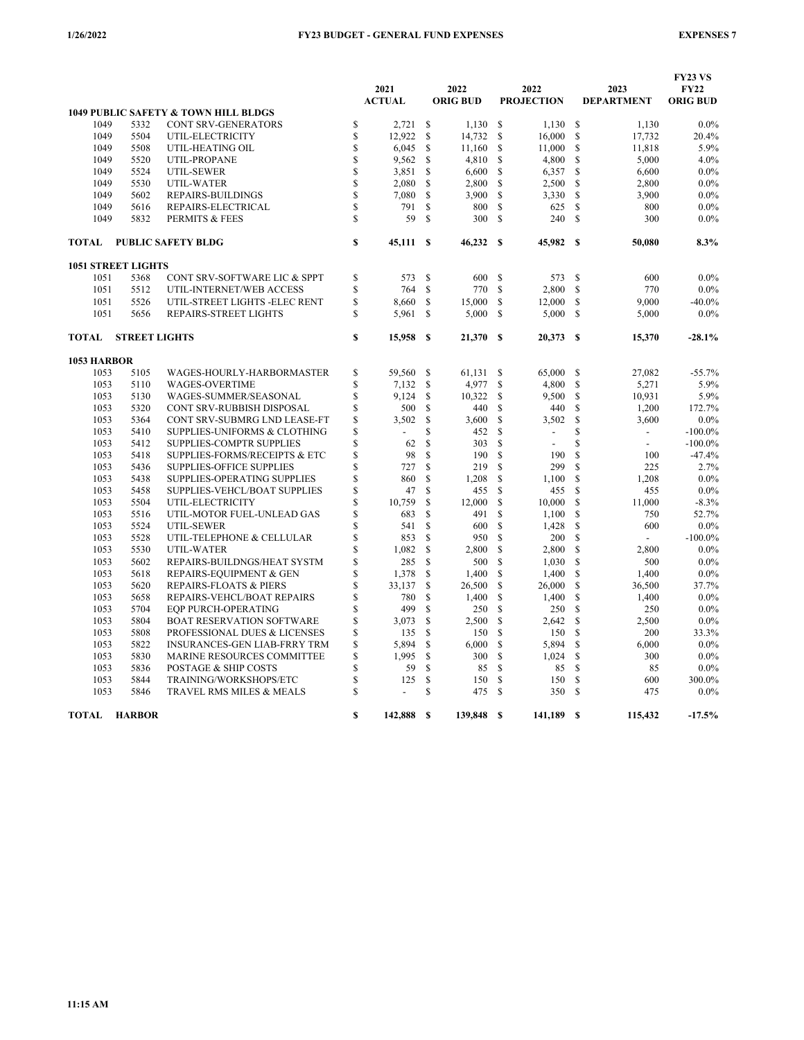|             |                           |                                                 |              | 2021<br><b>ACTUAL</b> |               | 2022<br><b>ORIG BUD</b> |               | 2022<br><b>PROJECTION</b> |              | 2023<br><b>DEPARTMENT</b> | <b>FY23 VS</b><br><b>FY22</b><br><b>ORIG BUD</b> |
|-------------|---------------------------|-------------------------------------------------|--------------|-----------------------|---------------|-------------------------|---------------|---------------------------|--------------|---------------------------|--------------------------------------------------|
|             |                           | <b>1049 PUBLIC SAFETY &amp; TOWN HILL BLDGS</b> |              |                       |               |                         |               |                           |              |                           |                                                  |
| 1049        | 5332                      | <b>CONT SRV-GENERATORS</b>                      | S            | 2.721                 | <sup>\$</sup> | 1.130                   | S             | 1.130                     | \$           | 1.130                     | $0.0\%$                                          |
| 1049        | 5504                      | UTIL-ELECTRICITY                                | $\mathbb{S}$ | 12,922                | \$            | 14,732                  | \$            | 16,000                    | \$           | 17,732                    | 20.4%                                            |
| 1049        | 5508                      | UTIL-HEATING OIL                                | $\mathbb{S}$ | 6,045                 | \$            | 11,160                  | \$            | 11,000                    | \$           | 11,818                    | 5.9%                                             |
| 1049        | 5520                      | UTIL-PROPANE                                    | \$           | 9,562                 | \$            | 4,810                   | \$            | 4,800                     | \$           | 5,000                     | 4.0%                                             |
| 1049        | 5524                      | UTIL-SEWER                                      | \$           | 3,851                 | \$            | 6,600                   | \$            | 6,357                     | \$           | 6,600                     | 0.0%                                             |
| 1049        | 5530                      | UTIL-WATER                                      | \$           | 2,080                 | \$            | 2,800                   | \$            | 2,500                     | \$           | 2,800                     | $0.0\%$                                          |
| 1049        | 5602                      | REPAIRS-BUILDINGS                               | \$           | 7,080                 | \$            | 3,900                   | \$            | 3,330                     | \$           | 3,900                     | 0.0%                                             |
| 1049        | 5616                      | REPAIRS-ELECTRICAL                              | $\mathbb{S}$ | 791                   | \$            | 800                     | \$            | 625                       | \$           | 800                       | $0.0\%$                                          |
| 1049        | 5832                      | PERMITS & FEES                                  | \$           | 59                    | \$            | 300                     | \$            | 240                       | S            | 300                       | $0.0\%$                                          |
| TOTAL       |                           | <b>PUBLIC SAFETY BLDG</b>                       | \$           | 45,111 \$             |               | 46,232                  | - S           | 45,982                    | - \$         | 50,080                    | 8.3%                                             |
|             | <b>1051 STREET LIGHTS</b> |                                                 |              |                       |               |                         |               |                           |              |                           |                                                  |
| 1051        | 5368                      | CONT SRV-SOFTWARE LIC & SPPT                    | \$           | 573                   | <sup>\$</sup> | 600                     | <sup>\$</sup> | 573                       | S            | 600                       | $0.0\%$                                          |
| 1051        | 5512                      | UTIL-INTERNET/WEB ACCESS                        | $\mathbb S$  | 764                   | \$            | 770                     | \$            | 2,800                     | S            | 770                       | $0.0\%$                                          |
| 1051        | 5526                      | UTIL-STREET LIGHTS -ELEC RENT                   | $\mathbb{S}$ | 8,660                 | <sup>\$</sup> | 15,000                  | \$            | 12,000                    | S            | 9,000                     | $-40.0\%$                                        |
| 1051        | 5656                      | REPAIRS-STREET LIGHTS                           | $\mathbf S$  | 5,961                 | <sup>\$</sup> | 5,000                   | \$            | 5,000                     | S            | 5,000                     | $0.0\%$                                          |
| TOTAL       | <b>STREET LIGHTS</b>      |                                                 | \$           | 15,958                | <b>S</b>      | 21,370                  | S             | 20,373                    | \$           | 15,370                    | $-28.1%$                                         |
| 1053 HARBOR |                           |                                                 |              |                       |               |                         |               |                           |              |                           |                                                  |
| 1053        | 5105                      | WAGES-HOURLY-HARBORMASTER                       | \$           | 59,560                | <sup>\$</sup> | 61,131                  | \$            | 65,000                    | S            | 27,082                    | $-55.7%$                                         |
| 1053        | 5110                      | <b>WAGES-OVERTIME</b>                           | \$           | 7,132                 | \$            | 4,977                   | \$            | 4,800                     | \$           | 5,271                     | 5.9%                                             |
| 1053        | 5130                      | WAGES-SUMMER/SEASONAL                           | $\mathbb{S}$ | 9,124                 | \$            | 10,322                  | \$            | 9,500                     | \$           | 10,931                    | 5.9%                                             |
| 1053        | 5320                      | CONT SRV-RUBBISH DISPOSAL                       | \$           | 500                   | <sup>\$</sup> | 440                     | \$            | 440                       | \$           | 1,200                     | 172.7%                                           |
| 1053        | 5364                      | CONT SRV-SUBMRG LND LEASE-FT                    | $\mathbb{S}$ | 3,502                 | <sup>\$</sup> | 3,600                   | \$            | 3,502                     | \$           | 3,600                     | $0.0\%$                                          |
| 1053        | 5410                      | SUPPLIES-UNIFORMS & CLOTHING                    | \$           |                       | \$            | 452                     | \$            | $\overline{a}$            | \$           | $\overline{a}$            | $-100.0\%$                                       |
| 1053        | 5412                      | SUPPLIES-COMPTR SUPPLIES                        | \$           | 62                    | \$            | 303                     | \$            | $\overline{a}$            | \$           | $\overline{a}$            | $-100.0\%$                                       |
| 1053        | 5418                      | <b>SUPPLIES-FORMS/RECEIPTS &amp; ETC</b>        | $\mathbb{S}$ | 98                    | \$            | 190                     | \$            | 190                       | \$           | 100                       | $-47.4%$                                         |
| 1053        | 5436                      | SUPPLIES-OFFICE SUPPLIES                        | S            | 727                   | S             | 219                     | S             | 299                       | S            | 225                       | 2.7%                                             |
| 1053        | 5438                      | SUPPLIES-OPERATING SUPPLIES                     | \$           | 860                   | \$            | 1,208                   | \$            | 1,100                     | \$           | 1,208                     | $0.0\%$                                          |
| 1053        | 5458                      | SUPPLIES-VEHCL/BOAT SUPPLIES                    | \$           | 47                    | \$            | 455                     | \$            | 455                       | S            | 455                       | 0.0%                                             |
| 1053        | 5504                      | UTIL-ELECTRICITY                                | $\mathbb{S}$ | 10,759                | S             | 12,000                  | \$            | 10,000                    | S            | 11,000                    | $-8.3%$                                          |
| 1053        | 5516                      | UTIL-MOTOR FUEL-UNLEAD GAS                      | \$           | 683                   | \$            | 491                     | \$            | 1,100                     | S            | 750                       | 52.7%                                            |
| 1053        | 5524                      | UTIL-SEWER                                      | \$           | 541                   | \$            | 600                     | \$            | 1,428                     | \$           | 600                       | 0.0%                                             |
| 1053        | 5528                      | UTIL-TELEPHONE & CELLULAR                       | \$           | 853                   | \$            | 950                     | \$            | 200                       | S            |                           | $-100.0\%$                                       |
| 1053        | 5530                      | UTIL-WATER                                      | \$           | 1,082                 | <sup>\$</sup> | 2,800                   | \$            | 2,800                     | S            | 2,800                     | 0.0%                                             |
| 1053        | 5602                      | REPAIRS-BUILDNGS/HEAT SYSTM                     | \$           | 285                   | <sup>\$</sup> | 500                     | S             | 1,030                     | \$           | 500                       | $0.0\%$                                          |
| 1053        | 5618                      | REPAIRS-EQUIPMENT & GEN                         | S            | 1,378                 | \$            | 1.400                   | S             | 1.400                     | S            | 1,400                     | $0.0\%$                                          |
| 1053        | 5620                      | <b>REPAIRS-FLOATS &amp; PIERS</b>               | $\mathbb{S}$ | 33,137                | \$            | 26,500                  | \$            | 26,000                    | S            | 36,500                    | 37.7%                                            |
| 1053        | 5658                      | REPAIRS-VEHCL/BOAT REPAIRS                      | \$           | 780                   | \$            | 1,400                   | \$            | 1,400                     | \$           | 1,400                     | 0.0%                                             |
| 1053        | 5704                      | <b>EOP PURCH-OPERATING</b>                      | $\mathbf S$  | 499                   | <sup>\$</sup> | 250                     | S             | 250                       | S            | 250                       | 0.0%                                             |
| 1053        | 5804                      | BOAT RESERVATION SOFTWARE                       | \$           | 3.073                 | \$            | 2,500                   | \$            | 2,642                     | \$           | 2,500                     | 0.0%                                             |
| 1053        | 5808                      | PROFESSIONAL DUES & LICENSES                    | \$           | 135                   | \$            | 150                     | \$            | 150                       | \$           | 200                       | 33.3%                                            |
| 1053        | 5822                      | <b>INSURANCES-GEN LIAB-FRRY TRM</b>             | $\mathbb S$  | 5,894                 | \$            | 6,000                   | \$            | 5,894                     | \$           | 6,000                     | 0.0%                                             |
| 1053        | 5830                      | <b>MARINE RESOURCES COMMITTEE</b>               | \$           | 1.995                 | \$            | 300                     | \$            | 1,024                     | S            | 300                       | 0.0%                                             |
| 1053        | 5836                      | <b>POSTAGE &amp; SHIP COSTS</b>                 | S            | 59                    | <sup>\$</sup> | 85                      | <sup>\$</sup> | 85                        | S            | 85                        | 0.0%                                             |
| 1053        | 5844                      | TRAINING/WORKSHOPS/ETC                          | \$           | 125                   | \$            | 150                     | \$            | 150                       | \$           | 600                       | 300.0%                                           |
| 1053        | 5846                      | TRAVEL RMS MILES & MEALS                        | $\mathbf S$  |                       | \$            | 475                     | <sup>\$</sup> | 350                       | S            | 475                       | $0.0\%$                                          |
| TOTAL       | <b>HARBOR</b>             |                                                 | S            | 142,888               | <b>S</b>      | 139,848                 | S             | 141,189                   | $\mathbf{s}$ | 115.432                   | $-17.5%$                                         |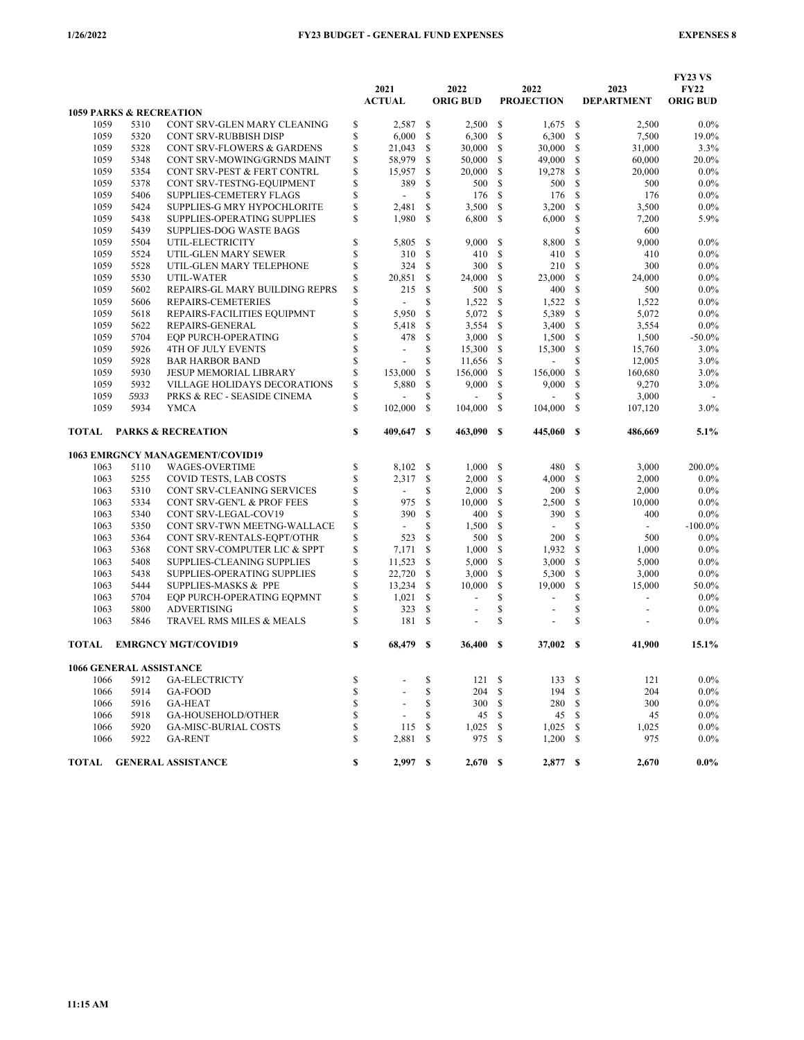|              |                                    |                                       | 2021<br><b>ACTUAL</b>          |              | 2022<br><b>ORIG BUD</b>  |               | 2022<br><b>PROJECTION</b> |              | 2023<br><b>DEPARTMENT</b> | <b>FY23 VS</b><br><b>FY22</b><br><b>ORIG BUD</b> |
|--------------|------------------------------------|---------------------------------------|--------------------------------|--------------|--------------------------|---------------|---------------------------|--------------|---------------------------|--------------------------------------------------|
|              | <b>1059 PARKS &amp; RECREATION</b> |                                       |                                |              |                          |               |                           |              |                           |                                                  |
| 1059         | 5310                               | CONT SRV-GLEN MARY CLEANING           | \$<br>2,587                    | \$           | 2,500                    | \$            | 1,675                     | \$           | 2,500                     | $0.0\%$                                          |
| 1059         | 5320                               | <b>CONT SRV-RUBBISH DISP</b>          | \$<br>6,000                    | \$           | 6,300                    | $\mathbf{\$}$ | 6,300                     | \$           | 7,500                     | 19.0%                                            |
| 1059         | 5328                               | <b>CONT SRV-FLOWERS &amp; GARDENS</b> | \$<br>21,043                   | \$           | 30,000                   | \$            | 30,000                    | \$           | 31,000                    | 3.3%                                             |
| 1059         | 5348                               | CONT SRV-MOWING/GRNDS MAINT           | \$<br>58,979                   | \$           | 50,000                   | $\mathbf{\$}$ | 49,000                    | \$           | 60,000                    | 20.0%                                            |
| 1059         | 5354                               | CONT SRV-PEST & FERT CONTRL           | \$<br>15,957                   | \$           | 20,000                   | \$            | 19,278                    | \$           | 20,000                    | $0.0\%$                                          |
| 1059         | 5378                               | CONT SRV-TESTNG-EQUIPMENT             | \$<br>389                      | \$           | 500                      | \$            | 500                       | \$           | 500                       | $0.0\%$                                          |
| 1059         | 5406                               | SUPPLIES-CEMETERY FLAGS               | \$<br>$\overline{\phantom{a}}$ | \$           | 176                      | \$            | 176                       | \$           | 176                       | 0.0%                                             |
| 1059         | 5424                               | SUPPLIES-G MRY HYPOCHLORITE           | \$<br>2,481                    | \$           | 3,500                    | \$            | 3,200                     | \$           | 3,500                     | $0.0\%$                                          |
| 1059         | 5438                               | SUPPLIES-OPERATING SUPPLIES           | \$<br>1,980                    | \$           | 6,800                    | \$            | 6,000                     | S            | 7,200                     | 5.9%                                             |
| 1059         | 5439                               | SUPPLIES-DOG WASTE BAGS               |                                |              |                          |               |                           | \$           | 600                       |                                                  |
| 1059         | 5504                               | UTIL-ELECTRICITY                      | \$<br>5,805                    | \$           | 9,000                    | \$            | 8,800                     | S            | 9,000                     | $0.0\%$                                          |
| 1059         | 5524                               | UTIL-GLEN MARY SEWER                  | \$<br>310                      | \$           | 410                      | \$            | 410                       | S            | 410                       | $0.0\%$                                          |
| 1059         | 5528                               | UTIL-GLEN MARY TELEPHONE              | \$<br>324                      | \$           | 300                      | \$            | 210                       | S            | 300                       | $0.0\%$                                          |
| 1059         | 5530                               | UTIL-WATER                            | \$<br>20,851                   | \$           | 24,000                   | \$            | 23,000                    | \$           | 24,000                    | $0.0\%$                                          |
| 1059         | 5602                               | REPAIRS-GL MARY BUILDING REPRS        | \$<br>215                      | \$           | 500                      | \$            | 400                       | S            | 500                       | 0.0%                                             |
| 1059         | 5606                               | REPAIRS-CEMETERIES                    | \$                             | \$           | 1,522                    | $\mathbf{\$}$ | 1,522                     | $\mathbb{S}$ | 1,522                     | $0.0\%$                                          |
| 1059         | 5618                               | REPAIRS-FACILITIES EQUIPMNT           | \$<br>5,950                    | \$           | 5,072                    | \$            | 5,389                     | S            | 5,072                     | 0.0%                                             |
| 1059         | 5622                               | REPAIRS-GENERAL                       | \$<br>5,418                    | \$           | 3,554                    | $\mathbf{\$}$ | 3,400                     | \$           | 3,554                     | 0.0%                                             |
| 1059         | 5704                               | EQP PURCH-OPERATING                   | \$<br>478                      | \$           | 3,000                    | <sup>\$</sup> | 1,500                     | S            | 1,500                     | $-50.0%$                                         |
| 1059         | 5926                               | 4TH OF JULY EVENTS                    | \$<br>$\overline{\phantom{a}}$ | \$           | 15,300                   | <sup>\$</sup> | 15,300                    | \$           | 15,760                    | 3.0%                                             |
| 1059         | 5928                               | <b>BAR HARBOR BAND</b>                | \$<br>$\overline{\phantom{a}}$ | \$           | 11,656                   | \$            | $\overline{a}$            | \$           | 12,005                    | 3.0%                                             |
| 1059         | 5930                               | <b>JESUP MEMORIAL LIBRARY</b>         | \$<br>153,000                  | \$           | 156,000                  | \$            | 156,000                   | \$           | 160,680                   | 3.0%                                             |
| 1059         | 5932                               | VILLAGE HOLIDAYS DECORATIONS          | \$<br>5,880                    | \$           | 9,000                    | \$            | 9,000                     | \$           | 9,270                     | 3.0%                                             |
| 1059         | 5933                               | PRKS & REC - SEASIDE CINEMA           | \$                             | \$           |                          | \$            |                           | \$           | 3,000                     |                                                  |
| 1059         | 5934                               | <b>YMCA</b>                           | \$<br>102,000                  | \$           | 104,000                  | \$            | 104,000                   | \$           | 107,120                   | 3.0%                                             |
| <b>TOTAL</b> |                                    | <b>PARKS &amp; RECREATION</b>         | \$<br>409,647                  | <sup>S</sup> | 463,090                  | <b>S</b>      | 445,060                   | S            | 486,669                   | 5.1%                                             |
|              |                                    | 1063 EMRGNCY MANAGEMENT/COVID19       |                                |              |                          |               |                           |              |                           |                                                  |
| 1063         | 5110                               | <b>WAGES-OVERTIME</b>                 | \$<br>8,102                    | -S           | 1,000                    | -S            | 480                       | S            | 3,000                     | 200.0%                                           |
| 1063         | 5255                               | COVID TESTS, LAB COSTS                | \$<br>2,317                    | \$           | 2,000                    | \$            | 4,000                     | S            | 2,000                     | $0.0\%$                                          |
| 1063         | 5310                               | CONT SRV-CLEANING SERVICES            | \$<br>$\overline{a}$           | \$           | 2,000                    | \$            | 200                       | \$           | 2,000                     | $0.0\%$                                          |
| 1063         | 5334                               | CONT SRV-GEN'L & PROF FEES            | \$<br>975                      | \$           | 10,000                   | \$            | 2,500                     | S            | 10,000                    | $0.0\%$                                          |
| 1063         | 5340                               | CONT SRV-LEGAL-COV19                  | \$<br>390                      | \$           | 400                      | \$            | 390                       | $\mathbb{S}$ | 400                       | $0.0\%$                                          |
| 1063         | 5350                               | CONT SRV-TWN MEETNG-WALLACE           | \$<br>$\overline{a}$           | \$           | 1,500                    | \$            | $\overline{a}$            | \$           | $\overline{\phantom{a}}$  | $-100.0\%$                                       |
| 1063         | 5364                               | CONT SRV-RENTALS-EQPT/OTHR            | \$<br>523                      | \$           | 500                      | \$            | 200                       | $\mathbb{S}$ | 500                       | $0.0\%$                                          |
| 1063         | 5368                               | CONT SRV-COMPUTER LIC & SPPT          | \$<br>7,171                    | \$           | 1,000                    | \$            | 1,932                     | S            | 1,000                     | $0.0\%$                                          |
| 1063         | 5408                               | SUPPLIES-CLEANING SUPPLIES            | \$<br>11,523                   | \$           | 5,000                    | \$            | 3,000                     | \$           | 5,000                     | $0.0\%$                                          |
| 1063         | 5438                               | SUPPLIES-OPERATING SUPPLIES           | \$<br>22,720                   | \$           | 3,000                    | \$            | 5,300                     | \$           | 3,000                     | $0.0\%$                                          |
| 1063         | 5444                               | <b>SUPPLIES-MASKS &amp; PPE</b>       | \$<br>13,234                   | \$           | 10,000                   | \$            | 19,000                    | $\mathbb{S}$ | 15,000                    | 50.0%                                            |
| 1063         | 5704                               | EQP PURCH-OPERATING EQPMNT            | \$<br>1,021                    | \$           | $\overline{\phantom{a}}$ | \$            | $\overline{\phantom{a}}$  | \$           | $\overline{\phantom{a}}$  | $0.0\%$                                          |
| 1063         | 5800                               | <b>ADVERTISING</b>                    | \$<br>323                      | \$           | $\overline{\phantom{a}}$ | \$            | $\overline{\phantom{a}}$  | \$           | $\overline{a}$            | $0.0\%$                                          |
| 1063         | 5846                               | TRAVEL RMS MILES & MEALS              | \$<br>181                      | \$           |                          | \$            |                           | \$           |                           | $0.0\%$                                          |
| <b>TOTAL</b> |                                    | <b>EMRGNCY MGT/COVID19</b>            | \$<br>68,479                   | -S           | 36,400                   | S             | 37,002                    | S            | 41,900                    | 15.1%                                            |
|              | <b>1066 GENERAL ASSISTANCE</b>     |                                       |                                |              |                          |               |                           |              |                           |                                                  |
| 1066         | 5912                               | <b>GA-ELECTRICTY</b>                  | \$                             | \$           | 121S                     |               | 133                       | -S           | 121                       | $0.0\%$                                          |
| 1066         | 5914                               | GA-FOOD                               | \$                             | \$           | 204                      | - \$          | 194                       | -S           | 204                       | $0.0\%$                                          |
| 1066         | 5916                               | GA-HEAT                               | \$                             | \$           | 300S                     |               | 280                       | -S           | 300                       | $0.0\%$                                          |
| 1066         | 5918                               | GA-HOUSEHOLD/OTHER                    | \$                             | \$           | 45S                      |               | 45S                       |              | 45                        | $0.0\%$                                          |
| 1066         | 5920                               | <b>GA-MISC-BURIAL COSTS</b>           | \$<br>115                      | \$           | $1,025$ \$               |               | $1,025$ \$                |              | 1,025                     | $0.0\%$                                          |
| 1066         | 5922                               | GA-RENT                               | \$<br>2,881 \$                 |              | 975 \$                   |               | $1,200$ \$                |              | 975                       | $0.0\%$                                          |
| TOTAL        |                                    | <b>GENERAL ASSISTANCE</b>             | \$<br>$2,997$ \$               |              | 2,670 S                  |               | 2,877 \$                  |              | 2,670                     | $0.0\%$                                          |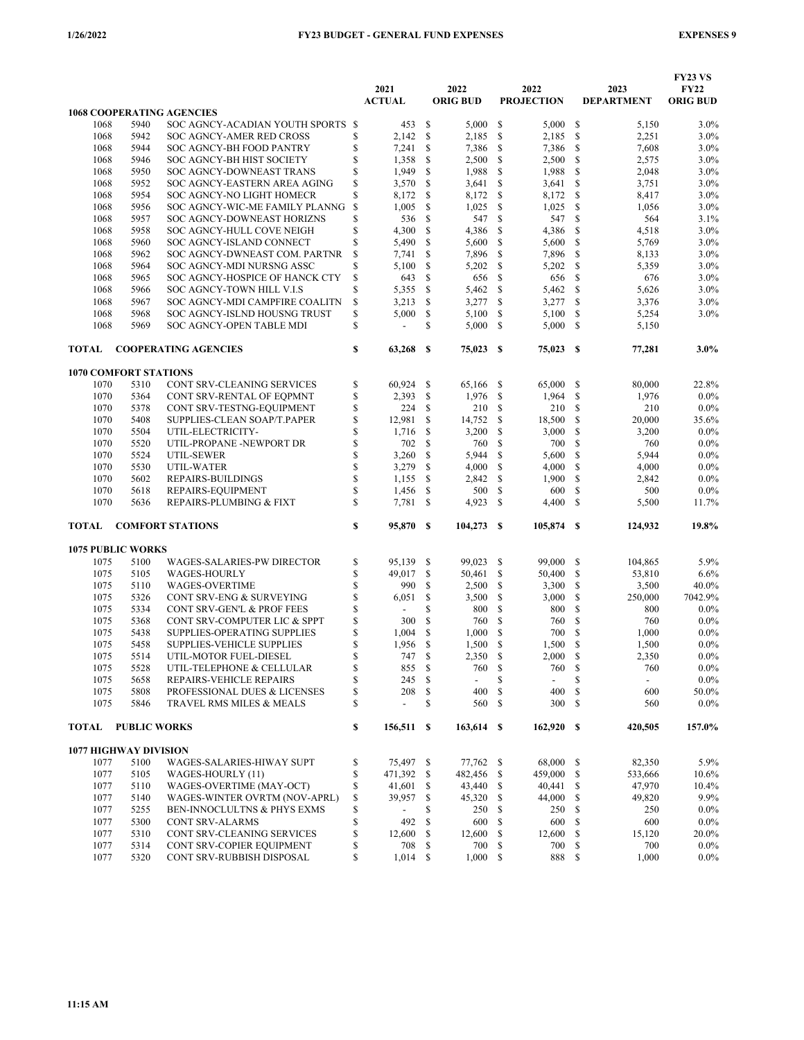|              |                              |                                                             |          |                          |                     |                 |                           |                          |              |                   | <b>FY23 VS</b>     |
|--------------|------------------------------|-------------------------------------------------------------|----------|--------------------------|---------------------|-----------------|---------------------------|--------------------------|--------------|-------------------|--------------------|
|              |                              |                                                             |          | 2021                     |                     | 2022            |                           | 2022                     |              | 2023              | <b>FY22</b>        |
|              |                              | <b>1068 COOPERATING AGENCIES</b>                            |          | <b>ACTUAL</b>            |                     | <b>ORIG BUD</b> |                           | <b>PROJECTION</b>        |              | <b>DEPARTMENT</b> | <b>ORIG BUD</b>    |
| 1068         | 5940                         | SOC AGNCY-ACADIAN YOUTH SPORTS \$                           |          | 453                      | <sup>\$</sup>       | 5,000           | <b>S</b>                  | 5,000                    | \$           | 5,150             | 3.0%               |
| 1068         | 5942                         | SOC AGNCY-AMER RED CROSS                                    | \$       | 2,142                    | <sup>\$</sup>       | 2,185           | <b>S</b>                  | 2,185                    | \$           | 2,251             | 3.0%               |
| 1068         | 5944                         | <b>SOC AGNCY-BH FOOD PANTRY</b>                             | \$       | 7,241                    | <sup>\$</sup>       | 7,386           | -S                        | 7,386                    | \$           | 7,608             | 3.0%               |
| 1068         | 5946                         | SOC AGNCY-BH HIST SOCIETY                                   | \$       | 1,358                    | <sup>\$</sup>       | 2,500           | <b>S</b>                  | 2,500                    | \$           | 2,575             | 3.0%               |
| 1068         | 5950                         | SOC AGNCY-DOWNEAST TRANS                                    | \$       | 1,949                    | <sup>\$</sup>       | 1,988           | \$                        | 1,988                    | \$           | 2,048             | 3.0%               |
| 1068         | 5952                         | SOC AGNCY-EASTERN AREA AGING                                | \$       | 3,570                    | <sup>\$</sup>       | 3,641           | <b>S</b>                  | 3,641                    | \$           | 3,751             | 3.0%               |
| 1068         | 5954                         | SOC AGNCY-NO LIGHT HOMECR                                   | \$       | 8,172                    | \$                  | 8,172           | $\mathbf{\$}$             | 8,172                    | \$           | 8,417             | 3.0%               |
| 1068         | 5956                         | SOC AGNCY-WIC-ME FAMILY PLANNG                              | \$       | 1,005                    | <sup>\$</sup>       | 1,025           | <sup>\$</sup>             | 1,025                    | \$           | 1,056             | 3.0%               |
| 1068         | 5957                         | SOC AGNCY-DOWNEAST HORIZNS                                  | \$       | 536                      | <sup>\$</sup>       | 547             | $\mathbf{\$}$             | 547                      | $\mathbb{S}$ | 564               | 3.1%               |
| 1068         | 5958                         | SOC AGNCY-HULL COVE NEIGH                                   | \$       | 4,300                    | <sup>\$</sup>       | 4,386           | \$                        | 4,386                    | \$           | 4,518             | 3.0%               |
| 1068         | 5960                         | SOC AGNCY-ISLAND CONNECT                                    | \$       | 5,490                    | <sup>\$</sup>       | 5,600           | $\mathbf{\$}$             | 5,600                    | \$           | 5,769             | 3.0%               |
| 1068         | 5962                         | SOC AGNCY-DWNEAST COM. PARTNR                               | \$       | 7,741                    | \$                  | 7,896           | <b>S</b>                  | 7,896                    | \$           | 8,133             | 3.0%               |
| 1068         | 5964                         | SOC AGNCY-MDI NURSNG ASSC                                   | \$       | 5,100                    | \$                  | 5,202           | -S                        | 5,202                    | \$           | 5,359             | 3.0%               |
| 1068         | 5965                         | SOC AGNCY-HOSPICE OF HANCK CTY                              | \$       | 643                      | \$                  | 656             | <b>S</b>                  | 656                      | \$           | 676               | 3.0%               |
| 1068         | 5966<br>5967                 | SOC AGNCY-TOWN HILL V.I.S<br>SOC AGNCY-MDI CAMPFIRE COALITN | \$<br>\$ | 5,355                    | <sup>\$</sup><br>\$ | 5,462           | $\mathbf{\$}$<br><b>S</b> | 5,462                    | S<br>\$      | 5,626             | 3.0%<br>3.0%       |
| 1068<br>1068 | 5968                         | SOC AGNCY-ISLND HOUSNG TRUST                                | \$       | 3,213<br>5,000           | \$                  | 3,277<br>5,100  | <sup>\$</sup>             | 3,277<br>5,100           | \$           | 3,376<br>5,254    | 3.0%               |
| 1068         | 5969                         | SOC AGNCY-OPEN TABLE MDI                                    | \$       | $\overline{a}$           | \$                  | 5,000           | -S                        | 5,000                    | S            | 5,150             |                    |
|              |                              |                                                             |          |                          |                     |                 |                           |                          |              |                   |                    |
| TOTAL        |                              | <b>COOPERATING AGENCIES</b>                                 | \$       | 63,268                   | -S                  | 75.023          | - \$                      | 75,023 \$                |              | 77,281            | 3.0%               |
|              | <b>1070 COMFORT STATIONS</b> |                                                             |          |                          |                     |                 |                           |                          |              |                   |                    |
| 1070         | 5310                         | CONT SRV-CLEANING SERVICES                                  | \$       | 60,924                   | <sup>\$</sup>       | 65,166          | - \$                      | 65,000                   | \$           | 80,000            | 22.8%              |
| 1070         | 5364                         | CONT SRV-RENTAL OF EQPMNT                                   | \$       | 2,393                    | <sup>\$</sup>       | 1,976           | -S                        | 1,964                    | \$           | 1,976             | $0.0\%$            |
| 1070         | 5378                         | CONT SRV-TESTNG-EQUIPMENT                                   | \$       | 224                      | <sup>\$</sup>       | 210             | <sup>\$</sup>             | 210                      | \$           | 210               | $0.0\%$            |
| 1070         | 5408                         | SUPPLIES-CLEAN SOAP/T.PAPER                                 | \$       | 12,981                   | \$                  | 14,752          | \$                        | 18,500                   | \$           | 20,000            | 35.6%              |
| 1070         | 5504                         | UTIL-ELECTRICITY-                                           | \$       | 1,716                    | <sup>\$</sup>       | 3,200           | \$                        | 3,000                    | \$           | 3,200             | $0.0\%$            |
| 1070         | 5520                         | UTIL-PROPANE -NEWPORT DR                                    | \$       | 702                      | <sup>\$</sup>       | 760             | <b>S</b>                  | 700                      | \$           | 760               | $0.0\%$            |
| 1070         | 5524                         | UTIL-SEWER                                                  | \$       | 3,260                    | <sup>\$</sup>       | 5,944           | \$                        | 5,600                    | \$           | 5,944             | $0.0\%$            |
| 1070         | 5530                         | UTIL-WATER                                                  | \$       | 3,279                    | <sup>\$</sup>       | 4,000           | \$                        | 4,000                    | \$           | 4,000             | 0.0%               |
| 1070<br>1070 | 5602<br>5618                 | REPAIRS-BUILDINGS                                           | \$<br>\$ | 1,155                    | \$<br><sup>\$</sup> | 2,842<br>500    | $\mathbf{\$}$<br>\$       | 1,900<br>600             | \$<br>\$     | 2,842<br>500      | $0.0\%$<br>$0.0\%$ |
| 1070         | 5636                         | REPAIRS-EQUIPMENT<br>REPAIRS-PLUMBING & FIXT                | \$       | 1,456<br>7,781           | $\mathbb{S}$        | 4,923           | -S                        | 4,400                    | S            | 5,500             | 11.7%              |
|              |                              |                                                             |          |                          |                     |                 |                           |                          |              |                   |                    |
| <b>TOTAL</b> |                              | <b>COMFORT STATIONS</b>                                     | \$       | 95,870                   | <b>S</b>            | 104,273         | -S                        | 105,874                  | -S           | 124,932           | 19.8%              |
|              | <b>1075 PUBLIC WORKS</b>     |                                                             |          |                          |                     |                 |                           |                          |              |                   |                    |
| 1075         | 5100                         | WAGES-SALARIES-PW DIRECTOR                                  | \$       | 95,139                   | -\$                 | 99,023          | <b>S</b>                  | 99,000                   | S            | 104,865           | 5.9%               |
| 1075         | 5105                         | WAGES-HOURLY                                                | \$       | 49,017                   | <sup>\$</sup>       | 50,461          | <sup>\$</sup>             | 50,400                   | S            | 53,810            | 6.6%               |
| 1075         | 5110                         | <b>WAGES-OVERTIME</b>                                       | \$       | 990                      | \$                  | 2,500           | \$                        | 3,300                    | \$           | 3,500             | 40.0%              |
| 1075         | 5326                         | CONT SRV-ENG & SURVEYING                                    | \$       | 6,051                    | \$                  | 3,500           | \$                        | 3,000                    | \$           | 250,000           | 7042.9%            |
| 1075         | 5334                         | CONT SRV-GEN'L & PROF FEES                                  | \$       | $\overline{\phantom{a}}$ | \$                  | 800             | \$                        | 800                      | \$           | 800               | $0.0\%$            |
| 1075<br>1075 | 5368<br>5438                 | CONT SRV-COMPUTER LIC & SPPT<br>SUPPLIES-OPERATING SUPPLIES | \$<br>\$ | 300<br>1,004             | <sup>\$</sup><br>\$ | 760<br>1,000    | \$<br>\$                  | 760<br>700               | \$<br>S      | 760<br>1,000      | $0.0\%$<br>$0.0\%$ |
| 1075         | 5458                         | SUPPLIES-VEHICLE SUPPLIES                                   | \$       | 1,956                    | \$                  | 1,500           | \$                        | 1,500                    | \$           | 1,500             | $0.0\%$            |
| 1075         | 5514                         | UTIL-MOTOR FUEL-DIESEL                                      | Ŝ        | 747                      | \$                  | 2,350           | \$                        | 2,000                    | S            | 2,350             | $0.0\%$            |
| 1075         | 5528                         | UTIL-TELEPHONE & CELLULAR                                   | \$       | 855 S                    |                     | 760             | -S                        | 760                      | \$           | 760               | $0.0\%$            |
| 1075         | 5658                         | REPAIRS-VEHICLE REPAIRS                                     | \$       | 245                      | <sup>\$</sup>       |                 | \$                        | $\overline{\phantom{0}}$ | \$           |                   | 0.0%               |
| 1075         | 5808                         | PROFESSIONAL DUES & LICENSES                                | \$       | 208                      | $\mathbb{S}$        | 400             | \$                        | 400                      | \$           | 600               | 50.0%              |
| 1075         | 5846                         | TRAVEL RMS MILES & MEALS                                    | \$       |                          | \$                  | 560 \$          |                           | 300 S                    |              | 560               | $0.0\%$            |
| <b>TOTAL</b> | <b>PUBLIC WORKS</b>          |                                                             | \$       | 156,511 \$               |                     | 163,614 \$      |                           | 162,920 \$               |              | 420,505           | 157.0%             |
|              | <b>1077 HIGHWAY DIVISION</b> |                                                             |          |                          |                     |                 |                           |                          |              |                   |                    |
| 1077         | 5100                         | WAGES-SALARIES-HIWAY SUPT                                   | \$       | 75,497 \$                |                     | 77,762 \$       |                           | 68,000                   | -S           | 82,350            | 5.9%               |
| 1077         | 5105                         | WAGES-HOURLY (11)                                           | \$       | 471,392                  | - \$                | 482,456         | -S                        | 459,000                  | \$           | 533,666           | 10.6%              |
| 1077         | 5110                         | <b>WAGES-OVERTIME (MAY-OCT)</b>                             | \$       | 41,601                   | -\$                 | 43,440          | -S                        | 40,441                   | \$           | 47,970            | 10.4%              |
| 1077         | 5140                         | WAGES-WINTER OVRTM (NOV-APRL)                               | \$       | 39,957                   | -\$                 | 45,320          | -S                        | 44,000                   | \$           | 49,820            | 9.9%               |
| 1077         | 5255                         | BEN-INNOCLULTNS & PHYS EXMS                                 | \$       |                          | \$                  | 250             | \$                        | 250                      | \$           | 250               | $0.0\%$            |
| 1077         | 5300                         | <b>CONT SRV-ALARMS</b>                                      | \$       | 492                      | $\mathbb{S}$        | 600             | \$                        | 600                      | \$           | 600               | $0.0\%$            |
| 1077         | 5310                         | CONT SRV-CLEANING SERVICES                                  | \$       | 12,600                   | $\mathbb{S}$        | 12,600          | -S                        | 12,600                   | \$           | 15,120            | 20.0%              |
| 1077         | 5314                         | CONT SRV-COPIER EQUIPMENT                                   | \$       | 708                      | -S                  | 700             | -S                        | 700                      | \$           | 700               | $0.0\%$            |
| 1077         | 5320                         | CONT SRV-RUBBISH DISPOSAL                                   | \$       | $1,014$ \$               |                     | 1,000           | - \$                      | 888                      | \$           | 1,000             | $0.0\%$            |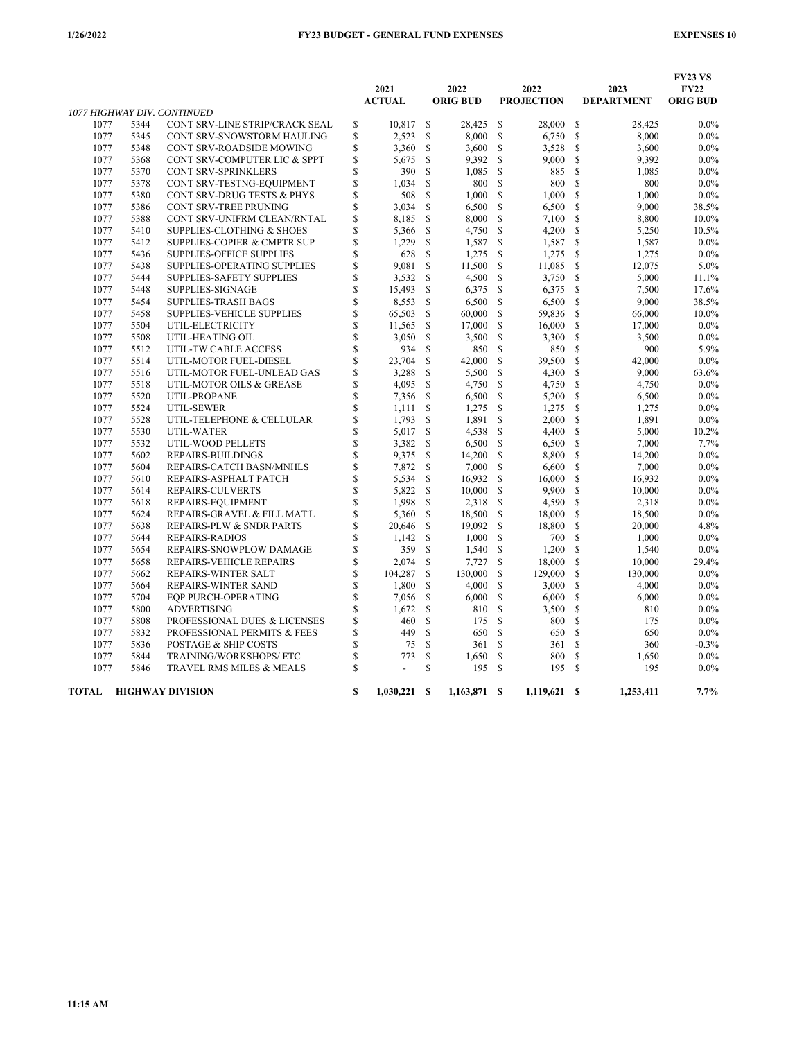|       | 1077 HIGHWAY DIV. CONTINUED |                                      |              | 2021<br><b>ACTUAL</b> | 2022<br><b>ORIG BUD</b> |              | 2022<br><b>PROJECTION</b> |                | 2023<br><b>DEPARTMENT</b> |           | <b>FY23 VS</b><br><b>FY22</b><br><b>ORIG BUD</b> |
|-------|-----------------------------|--------------------------------------|--------------|-----------------------|-------------------------|--------------|---------------------------|----------------|---------------------------|-----------|--------------------------------------------------|
|       |                             |                                      |              |                       |                         |              |                           |                |                           |           |                                                  |
| 1077  | 5344                        | CONT SRV-LINE STRIP/CRACK SEAL       | \$           | 10,817                | -S                      | 28,425       | \$                        | 28,000         | \$                        | 28,425    | $0.0\%$                                          |
| 1077  | 5345                        | CONT SRV-SNOWSTORM HAULING           | $\mathbb{S}$ | 2,523                 | $\mathcal{S}$           | 8,000        | \$                        | 6,750          | \$                        | 8,000     | $0.0\%$                                          |
| 1077  | 5348                        | CONT SRV-ROADSIDE MOWING             | \$           | 3,360                 | \$                      | 3,600        | \$                        | 3,528          | \$                        | 3,600     | $0.0\%$                                          |
| 1077  | 5368                        | CONT SRV-COMPUTER LIC & SPPT         | \$           | 5,675                 | \$                      | 9,392        | \$                        | 9,000          | \$                        | 9,392     | $0.0\%$                                          |
| 1077  | 5370                        | CONT SRV-SPRINKLERS                  | \$           | 390                   | \$                      | 1,085        | \$                        | 885            | \$                        | 1,085     | $0.0\%$                                          |
| 1077  | 5378                        | CONT SRV-TESTNG-EQUIPMENT            | $\mathbb{S}$ | 1,034                 | \$                      | 800          | \$                        | 800            | \$                        | 800       | $0.0\%$                                          |
| 1077  | 5380                        | CONT SRV-DRUG TESTS & PHYS           | \$           | 508                   | <sup>\$</sup>           | 1,000        | \$                        | 1,000          | \$                        | 1,000     | $0.0\%$                                          |
| 1077  | 5386                        | CONT SRV-TREE PRUNING                | S            | 3,034                 | S                       | 6,500        | S                         | 6,500          | \$                        | 9,000     | 38.5%                                            |
| 1077  | 5388                        | CONT SRV-UNIFRM CLEAN/RNTAL          | \$           | 8,185                 | \$                      | 8,000        | \$                        | 7,100          | S                         | 8,800     | 10.0%                                            |
| 1077  | 5410                        | <b>SUPPLIES-CLOTHING &amp; SHOES</b> | \$           | 5,366                 | \$                      | 4,750        | \$                        | 4,200          | $\mathbb{S}$              | 5,250     | 10.5%                                            |
| 1077  | 5412                        | SUPPLIES-COPIER & CMPTR SUP          | \$           | 1,229                 | \$                      | 1,587        | S                         | 1,587          | S                         | 1,587     | $0.0\%$                                          |
| 1077  | 5436                        | <b>SUPPLIES-OFFICE SUPPLIES</b>      | \$           | 628                   | $\mathcal{S}$           | 1,275        | \$                        | 1,275          | \$                        | 1,275     | $0.0\%$                                          |
| 1077  | 5438                        | SUPPLIES-OPERATING SUPPLIES          | \$           | 9,081                 | \$                      | 11,500       | \$                        | 11,085         | $\mathbb{S}$              | 12,075    | 5.0%                                             |
| 1077  | 5444                        | <b>SUPPLIES-SAFETY SUPPLIES</b>      | \$           | 3,532                 | $\mathcal{S}$           | 4,500        | \$                        | 3,750          | \$                        | 5,000     | 11.1%                                            |
| 1077  | 5448                        | SUPPLIES-SIGNAGE                     | \$           | 15,493                | $\mathcal{S}$           | 6,375        | \$                        | 6,375          | \$                        | 7,500     | 17.6%                                            |
| 1077  | 5454                        | <b>SUPPLIES-TRASH BAGS</b>           | S            | 8,553                 | \$                      | 6,500        | \$                        | 6,500          | $\mathbb{S}$              | 9,000     | 38.5%                                            |
| 1077  | 5458                        | <b>SUPPLIES-VEHICLE SUPPLIES</b>     | \$           | 65,503                | \$                      | 60,000       | \$                        | 59,836         | \$                        | 66,000    | 10.0%                                            |
| 1077  | 5504                        | UTIL-ELECTRICITY                     | \$           | 11,565                | \$                      | 17,000       | \$                        | 16,000         | $\mathbb{S}$              | 17,000    | $0.0\%$                                          |
| 1077  | 5508                        | UTIL-HEATING OIL                     | S            | 3,050                 | \$                      | 3,500        | \$                        | 3,300          | \$                        | 3,500     | $0.0\%$                                          |
| 1077  | 5512                        | UTIL-TW CABLE ACCESS                 | \$           | 934                   | $\mathcal{S}$           | 850          | \$                        | 850            | \$                        | 900       | 5.9%                                             |
| 1077  | 5514                        | UTIL-MOTOR FUEL-DIESEL               | \$           | 23,704                | \$                      | 42,000       | \$                        | 39,500         | \$                        | 42,000    | $0.0\%$                                          |
| 1077  | 5516                        | UTIL-MOTOR FUEL-UNLEAD GAS           | S            | 3,288                 | \$                      | 5,500        | \$                        | 4,300          | \$                        | 9,000     | 63.6%                                            |
| 1077  | 5518                        | UTIL-MOTOR OILS & GREASE             | S            | 4,095                 | <sup>\$</sup>           | 4,750        | \$                        | 4,750          | \$                        | 4,750     | $0.0\%$                                          |
| 1077  | 5520                        | UTIL-PROPANE                         | \$           | 7,356                 | $\mathcal{S}$           | 6,500        | \$                        | 5,200          | \$                        | 6,500     | $0.0\%$                                          |
| 1077  | 5524                        | UTIL-SEWER                           | \$           | 1,111                 | \$                      | 1,275        | \$                        | 1,275          | \$                        | 1,275     | $0.0\%$                                          |
| 1077  | 5528                        | UTIL-TELEPHONE & CELLULAR            | \$           | 1,793                 | $\mathcal{S}$           | 1,891        | \$                        | 2,000          | \$                        | 1,891     | $0.0\%$                                          |
| 1077  | 5530                        | UTIL-WATER                           | \$           | 5,017                 | <sup>\$</sup>           | 4,538        | \$                        | 4,400          | $\mathbb{S}$              | 5,000     | 10.2%                                            |
| 1077  | 5532                        | UTIL-WOOD PELLETS                    | S            | 3,382                 | \$                      | 6,500        | \$                        | 6,500          | \$                        | 7,000     | 7.7%                                             |
| 1077  | 5602                        | <b>REPAIRS-BUILDINGS</b>             | \$           | 9,375                 | $\mathcal{S}$           | 14,200       | \$                        | 8,800          | \$                        | 14,200    | $0.0\%$                                          |
| 1077  | 5604                        | REPAIRS-CATCH BASN/MNHLS             | \$           | 7,872                 | <sup>\$</sup>           | 7,000        | \$                        | 6,600          | $\mathbb{S}$              | 7,000     | $0.0\%$                                          |
| 1077  | 5610                        | REPAIRS-ASPHALT PATCH                | S            | 5,534                 | $\mathcal{S}$           | 16,932       | \$                        | 16,000         | S                         | 16,932    | $0.0\%$                                          |
| 1077  | 5614                        | <b>REPAIRS-CULVERTS</b>              | \$           | 5,822                 | $\mathcal{S}$           | 10,000       | \$                        | 9,900          | \$                        | 10,000    | $0.0\%$                                          |
| 1077  | 5618                        | REPAIRS-EQUIPMENT                    | S            | 1,998                 | <sup>\$</sup>           | 2,318        | <sup>\$</sup>             | 4,590          | \$                        | 2,318     | $0.0\%$                                          |
| 1077  | 5624                        | REPAIRS-GRAVEL & FILL MAT'L          | S            | 5,360                 | \$                      | 18,500       | \$                        | 18,000         | \$                        | 18,500    | $0.0\%$                                          |
| 1077  | 5638                        | REPAIRS-PLW & SNDR PARTS             | S            | 20,646                | \$                      | 19,092       | \$                        | 18,800         | \$                        | 20,000    | 4.8%                                             |
| 1077  | 5644                        | REPAIRS-RADIOS                       | \$           | 1.142                 | $\mathbb{S}$            | 1,000        | \$                        | 700            | \$                        | 1,000     | $0.0\%$                                          |
| 1077  | 5654                        | REPAIRS-SNOWPLOW DAMAGE              | \$           | 359                   | $\mathcal{S}$           | 1,540        | \$                        | 1,200          | \$                        | 1,540     | $0.0\%$                                          |
| 1077  | 5658                        | REPAIRS-VEHICLE REPAIRS              | \$           | 2,074                 | $\mathcal{S}$           | 7,727        | \$                        | 18,000         | \$                        | 10,000    | 29.4%                                            |
| 1077  | 5662                        | REPAIRS-WINTER SALT                  | \$           | 104,287               | \$                      | 130,000      | \$                        | 129,000        | \$                        | 130,000   | $0.0\%$                                          |
| 1077  | 5664                        | REPAIRS-WINTER SAND                  | S            | 1,800                 | \$                      | 4,000        | \$                        | 3,000          | \$                        | 4,000     | $0.0\%$                                          |
| 1077  | 5704                        | <b>EOP PURCH-OPERATING</b>           | \$           | 7,056                 | \$                      | 6,000        | \$                        | 6,000          | \$                        | 6,000     | $0.0\%$                                          |
| 1077  | 5800                        | <b>ADVERTISING</b>                   | \$           | 1,672                 | \$                      | 810          | \$                        | 3,500          | \$                        | 810       | $0.0\%$                                          |
| 1077  | 5808                        | PROFESSIONAL DUES & LICENSES         | \$           | 460                   | \$                      | 175          | \$                        | 800            | \$                        | 175       | $0.0\%$                                          |
| 1077  | 5832                        | PROFESSIONAL PERMITS & FEES          | \$           | 449                   | $\mathbb{S}$            | 650          | \$                        | 650            | \$                        | 650       | $0.0\%$                                          |
| 1077  | 5836                        | POSTAGE & SHIP COSTS                 | S            | 75                    | \$                      | 361          | \$                        | 361            | S                         | 360       | $-0.3%$                                          |
| 1077  | 5844                        | TRAINING/WORKSHOPS/ ETC              | \$           | 773                   | \$                      | 1,650        | \$                        | 800            | $\mathbb{S}$              | 1,650     | $0.0\%$                                          |
| 1077  | 5846                        | <b>TRAVEL RMS MILES &amp; MEALS</b>  | S            |                       | \$                      | 195          | S                         | 195            | S                         | 195       | $0.0\%$                                          |
| TOTAL |                             | <b>HIGHWAY DIVISION</b>              | S            | $1,030,221$ \$        |                         | 1,163,871 \$ |                           | $1,119,621$ \$ |                           | 1,253,411 | 7.7%                                             |